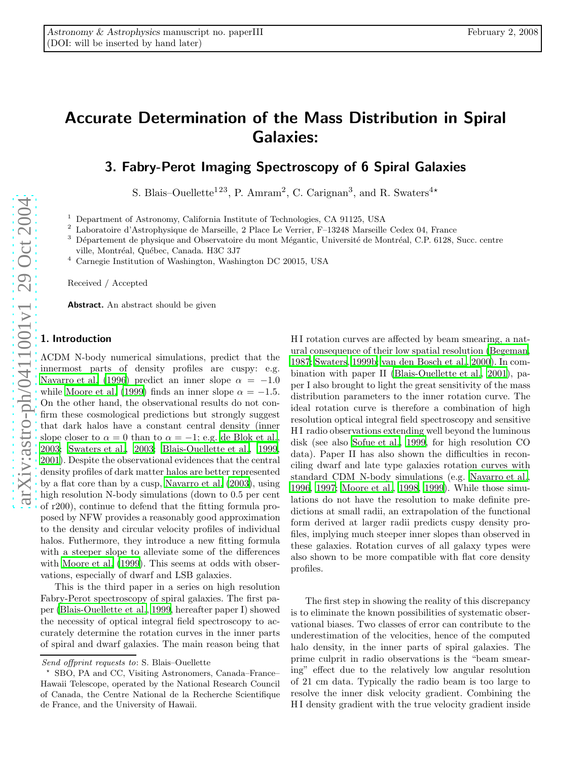# Accurate Determination of the Mass Distribution in Spiral Galaxies:

# 3. Fabry-Perot Imaging Spectroscopy of 6 Spiral Galaxies

S. Blais–Ouellette<sup>123</sup>, P. Amram<sup>2</sup>, C. Carignan<sup>3</sup>, and R. Swaters<sup>4\*</sup>

<sup>1</sup> Department of Astronomy, California Institute of Technologies, CA 91125, USA<br><sup>2</sup> Laboratoire d'Astrophysique de Marseille, 2 Place Le Verrier, F-13248 Marseille Cedex 04, France<br><sup>3</sup> Département de physique and Observa ville, Montréal, Québec, Canada. H3C 3J7

<sup>4</sup> Carnegie Institution of Washington, Washington DC 20015, USA

Received / Accepted

Abstract. An abstract should be given

## 1. Introduction

ΛCDM N-body numerical simulations, predict that the innermost parts of density profiles are cuspy: e.g. [Navarro et al. \(1996](#page-13-0)) predict an inner slope  $\alpha = -1.0$ while [Moore et al. \(1999\)](#page-13-1) finds an inner slope  $\alpha = -1.5$ . On the other hand, the observational results do not confirm these cosmological predictions but strongly suggest that dark halos have a constant central density (inner slope closer to  $\alpha = 0$  than to  $\alpha = -1$ ; e.g. [de Blok et al.,](#page-13-2) [2003](#page-13-2); [Swaters et al., 2003;](#page-13-3) [Blais-Ouellette et al.](#page-12-0), [1999,](#page-12-0) [2001](#page-12-1)). Despite the observational evidences that the centra l density profiles of dark matter halos are better represented by a flat core than by a cusp, [Navarro et al. \(2003](#page-13-4)), using high resolution N-body simulations (down to 0.5 per cent of r200), continue to defend that the fitting formula proposed by NFW provides a reasonably good approximation to the density and circular velocity profiles of individual halos. Futhermore, they introduce a new fitting formula with a steeper slope to alleviate some of the differences with [Moore et al. \(1999\)](#page-13-1). This seems at odds with observations, especially of dwarf and LSB galaxies.

This is the third paper in a series on high resolution Fabry-Perot spectroscopy of spiral galaxies. The first paper [\(Blais-Ouellette et al., 1999,](#page-12-0) hereafter paper I) showed the necessity of optical integral field spectroscopy to accurately determine the rotation curves in the inner parts of spiral and dwarf galaxies. The main reason being that H I rotation curves are affected by beam smearing, a natural consequence of their low spatial resolution [\(Begeman,](#page-12-2) [1987;](#page-12-2) [Swaters, 1999b](#page-13-5); [van den Bosch et al., 2000\)](#page-13-6). In combination with paper II [\(Blais-Ouellette et al., 2001\)](#page-12-1), paper I also brought to light the great sensitivity of the mass distribution parameters to the inner rotation curve. The ideal rotation curve is therefore a combination of high resolution optical integral field spectroscopy and sensitive H I radio observations extending well beyond the luminous disk (see also [Sofue et al.](#page-13-7), [1999,](#page-13-7) for high resolution CO data). Paper II has also shown the difficulties in reconciling dwarf and late type galaxies rotation curves with standard CDM N-body simulations (e.g. [Navarro et al.,](#page-13-0) [1996,](#page-13-0) [1997;](#page-13-8) [Moore et al.](#page-13-9), [1998,](#page-13-9) [1999](#page-13-1)). While those simulations do not have the resolution to make definite predictions at small radii, an extrapolation of the functional form derived at larger radii predicts cuspy density profiles, implying much steeper inner slopes than observed in these galaxies. Rotation curves of all galaxy types were also shown to be more compatible with flat core density profiles.

The first step in showing the reality of this discrepancy is to eliminate the known possibilities of systematic obser vational biases. Two classes of error can contribute to the underestimation of the velocities, hence of the computed halo density, in the inner parts of spiral galaxies. The prime culprit in radio observations is the "beam smearing" effect due to the relatively low angular resolution of 21 cm data. Typically the radio beam is too large to resolve the inner disk velocity gradient. Combining the H I density gradient with the true velocity gradient inside

Send offprint requests to: S. Blais–Ouellette

SBO, PA and CC, Visiting Astronomers, Canada–France– Hawaii Telescope, operated by the National Research Counci l of Canada, the Centre National de la Recherche Scientifique de France, and the University of Hawaii.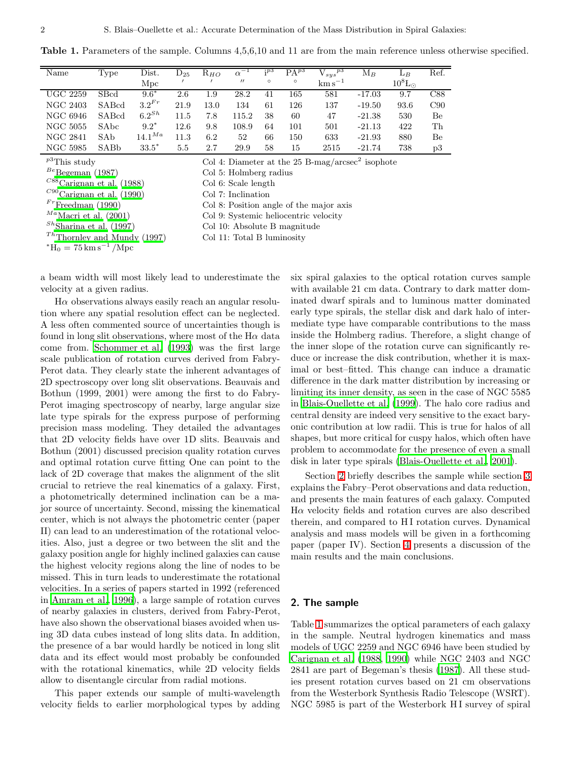<span id="page-1-1"></span>Table 1. Parameters of the sample. Columns 4,5,6,10 and 11 are from the main reference unless otherwise specified.

| Name                                                                               | Type  | $_{\rm Dist.}$ | $\mathrm{D}_{25}$ | $R_{HO}$ | $\alpha$          | ; p3    | $\mathrm{PA}^{p3}$ | ${\rm V}_{sys}{}^{p3}$ | $\mathrm{M}_B$ | $L_B$                 | Ref. |
|------------------------------------------------------------------------------------|-------|----------------|-------------------|----------|-------------------|---------|--------------------|------------------------|----------------|-----------------------|------|
|                                                                                    |       | Mpc            |                   |          | $^{\prime\prime}$ | $\circ$ | $\circ$            | $\mathrm{km\,s}^{-1}$  |                | $10^8$ L <sub>o</sub> |      |
| <b>UGC 2259</b>                                                                    | SBcd  | $9.6*$         | 2.6               | $1.9\,$  | 28.2              | 41      | 165                | 581                    | $-17.03$       | 9.7                   | C88  |
| NGC 2403                                                                           | SABcd | $3.2^{Fr}$     | 21.9              | 13.0     | 134               | 61      | 126                | 137                    | $-19.50$       | 93.6                  | C90  |
| NGC 6946                                                                           | SABcd | $6.2^{Sh}$     | 11.5              | 7.8      | 115.2             | 38      | 60                 | 47                     | $-21.38$       | 530                   | Be   |
| <b>NGC 5055</b>                                                                    | SAbc  | $9.2*$         | 12.6              | 9.8      | 108.9             | 64      | 101                | 501                    | $-21.13$       | 422                   | Th   |
| <b>NGC 2841</b>                                                                    | SAb   | $14.1^{Ma}$    | 11.3              | 6.2      | 52                | 66      | 150                | 633                    | $-21.93$       | 880                   | Be   |
| <b>NGC 5985</b>                                                                    | SABb  | $33.5*$        | 5.5               | 2.7      | 29.9              | 58      | 15                 | 2515                   | $-21.74$       | 738                   | p3   |
| $p^3$ This study<br>Col 4: Diameter at the $25$ B-mag/arcsec <sup>2</sup> isophote |       |                |                   |          |                   |         |                    |                        |                |                       |      |

 $B^e$ [Begeman \(1987\)](#page-12-2) Col 5: Holmberg radius  $^{C88}\rm{Carignan}$  et al. (1988) Col 6: Scale length  $C^{90}$ [Carignan et al. \(1990](#page-13-11)) Col 7: Inclination

 $T<sup>h</sup>$ [Thornley and Mundy \(1997](#page-13-15)) Col 11: Total B luminosity

 $*H_0 = 75 \text{ km s}^{-1} / \text{Mpc}$ 

isophote

 $F<sup>r</sup>$ [Freedman \(1990](#page-13-12)) Col 8: Position angle of the major axis Col 9: Systemic heliocentric velocity

 $M^a$ [Macri et al. \(2001](#page-13-13)) Col 9: Systemic heliocentric velocity<br>  $S^h$ Sharina et al. (1997) Col 10: Absolute B magnitude

Col 10: Absolute B magnitude

a beam width will most likely lead to underestimate the velocity at a given radius.

 $H\alpha$  observations always easily reach an angular resolution where any spatial resolution effect can be neglected. A less often commented source of uncertainties though is found in long slit observations, where most of the  $H\alpha$  data come from. [Schommer et al. \(1993\)](#page-13-16) was the first large scale publication of rotation curves derived from Fabry-Perot data. They clearly state the inherent advantages of 2D spectroscopy over long slit observations. Beauvais and Bothun (1999, 2001) were among the first to do Fabry-Perot imaging spectroscopy of nearby, large angular size late type spirals for the express purpose of performing precision mass modeling. They detailed the advantages that 2D velocity fields have over 1D slits. Beauvais and Bothun (2001) discussed precision quality rotation curves and optimal rotation curve fitting One can point to the lack of 2D coverage that makes the alignment of the slit crucial to retrieve the real kinematics of a galaxy. First, a photometrically determined inclination can be a major source of uncertainty. Second, missing the kinematical center, which is not always the photometric center (paper II) can lead to an underestimation of the rotational velocities. Also, just a degree or two between the slit and the galaxy position angle for highly inclined galaxies can cause the highest velocity regions along the line of nodes to be missed. This in turn leads to underestimate the rotational velocities. In a series of papers started in 1992 (referenced in [Amram et al.](#page-12-3), [1996\)](#page-12-3), a large sample of rotation curves of nearby galaxies in clusters, derived from Fabry-Perot, have also shown the observational biases avoided when using 3D data cubes instead of long slits data. In addition, the presence of a bar would hardly be noticed in long slit data and its effect would most probably be confounded with the rotational kinematics, while 2D velocity fields allow to disentangle circular from radial motions.

This paper extends our sample of multi-wavelength velocity fields to earlier morphological types by adding six spiral galaxies to the optical rotation curves sample with available 21 cm data. Contrary to dark matter dominated dwarf spirals and to luminous matter dominated early type spirals, the stellar disk and dark halo of intermediate type have comparable contributions to the mass inside the Holmberg radius. Therefore, a slight change of the inner slope of the rotation curve can significantly reduce or increase the disk contribution, whether it is maximal or best–fitted. This change can induce a dramatic difference in the dark matter distribution by increasing or limiting its inner density, as seen in the case of NGC 5585 in [Blais-Ouellette et al. \(1999](#page-12-0)). The halo core radius and central density are indeed very sensitive to the exact baryonic contribution at low radii. This is true for halos of all shapes, but more critical for cuspy halos, which often have problem to accommodate for the presence of even a small disk in later type spirals [\(Blais-Ouellette et al.](#page-12-1), [2001](#page-12-1)).

Section [2](#page-1-0) briefly describes the sample while section [3](#page-2-0) explains the Fabry–Perot observations and data reduction, and presents the main features of each galaxy. Computed  $H\alpha$  velocity fields and rotation curves are also described therein, and compared to HI rotation curves. Dynamical analysis and mass models will be given in a forthcoming paper (paper IV). Section [4](#page-12-4) presents a discussion of the main results and the main conclusions.

#### <span id="page-1-0"></span>2. The sample

Table [1](#page-1-1) summarizes the optical parameters of each galaxy in the sample. Neutral hydrogen kinematics and mass models of UGC 2259 and NGC 6946 have been studied by [Carignan et al. \(1988](#page-13-10), [1990\)](#page-13-11) while NGC 2403 and NGC 2841 are part of Begeman's thesis [\(1987\)](#page-12-2). All these studies present rotation curves based on 21 cm observations from the Westerbork Synthesis Radio Telescope (WSRT). NGC 5985 is part of the Westerbork HI survey of spiral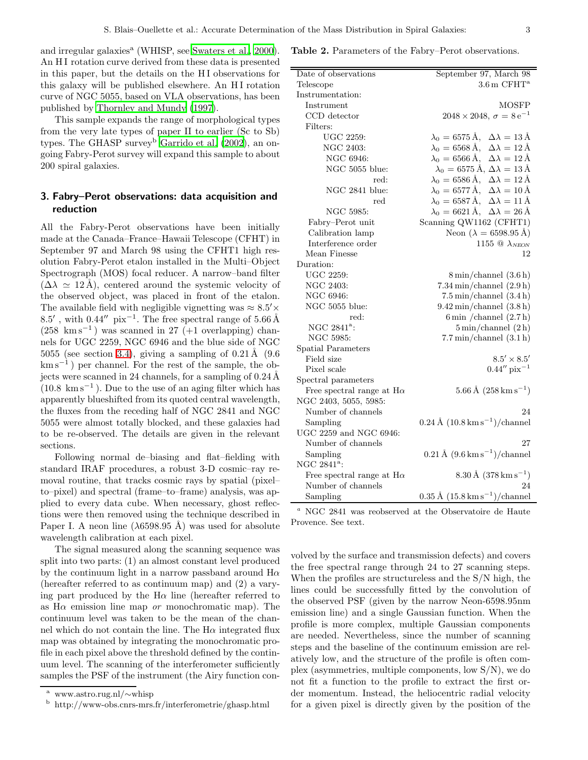and irregular galaxies<sup>a</sup> (WHISP, see [Swaters et al.](#page-13-17), [2000\)](#page-13-17). An HI rotation curve derived from these data is presented in this paper, but the details on the H I observations for this galaxy will be published elsewhere. An HI rotation curve of NGC 5055, based on VLA observations, has been published by [Thornley and Mundy \(1997](#page-13-15)).

This sample expands the range of morphological types from the very late types of paper II to earlier (Sc to Sb) types. The GHASP survey<sup>b</sup> Garrido et al.  $(2002)$ , an ongoing Fabry-Perot survey will expand this sample to about 200 spiral galaxies.

### <span id="page-2-0"></span>3. Fabry–Perot observations: data acquisition and reduction

All the Fabry-Perot observations have been initially made at the Canada–France–Hawaii Telescope (CFHT) in September 97 and March 98 using the CFHT1 high resolution Fabry-Perot etalon installed in the Multi–Object Spectrograph (MOS) focal reducer. A narrow–band filter  $(\Delta \lambda \simeq 12 \text{ Å})$ , centered around the systemic velocity of the observed object, was placed in front of the etalon. The available field with negligible vignetting was  $\approx 8.5' \times$ 8.5′, with  $0.44''$  pix<sup>-1</sup>. The free spectral range of 5.66Å (258 km s<sup>−</sup><sup>1</sup> ) was scanned in 27 (+1 overlapping) channels for UGC 2259, NGC 6946 and the blue side of NGC 5055 (see section [3.4\)](#page-9-0), giving a sampling of  $0.21 \text{\AA}$  (9.6) km s<sup>-1</sup>) per channel. For the rest of the sample, the objects were scanned in 24 channels, for a sampling of  $0.24 \text{ Å}$  $(10.8 \text{ km s}^{-1})$ . Due to the use of an aging filter which has apparently blueshifted from its quoted central wavelength, the fluxes from the receding half of NGC 2841 and NGC 5055 were almost totally blocked, and these galaxies had to be re-observed. The details are given in the relevant sections.

Following normal de–biasing and flat–fielding with standard IRAF procedures, a robust 3-D cosmic–ray removal routine, that tracks cosmic rays by spatial (pixel– to–pixel) and spectral (frame–to–frame) analysis, was applied to every data cube. When necessary, ghost reflections were then removed using the technique described in Paper I. A neon line  $(\lambda 6598.95 \text{ Å})$  was used for absolute wavelength calibration at each pixel.

The signal measured along the scanning sequence was split into two parts: (1) an almost constant level produced by the continuum light in a narrow passband around  $H\alpha$ (hereafter referred to as continuum map) and (2) a varying part produced by the  $H\alpha$  line (hereafter referred to as  $H\alpha$  emission line map *or* monochromatic map). The continuum level was taken to be the mean of the channel which do not contain the line. The  $H\alpha$  integrated flux map was obtained by integrating the monochromatic profile in each pixel above the threshold defined by the continuum level. The scanning of the interferometer sufficiently samples the PSF of the instrument (the Airy function con-

<span id="page-2-1"></span>

| Table 2. Parameters of the Fabry–Perot observations. |  |  |
|------------------------------------------------------|--|--|
|------------------------------------------------------|--|--|

| Date of observations                     | September 97, March 98                                                    |
|------------------------------------------|---------------------------------------------------------------------------|
| Telescope                                | $3.6 \text{ m } C$ FHT <sup>a</sup>                                       |
| Instrumentation:                         |                                                                           |
| Instrument                               | <b>MOSFP</b>                                                              |
| CCD detector                             | $2048 \times 2048$ , $\sigma = 8 e^{-1}$                                  |
| Filters:                                 |                                                                           |
| UGC 2259:                                | $\lambda_0 = 6575 \,\mathrm{\AA}, \ \Delta\lambda = 13 \,\mathrm{\AA}$    |
| NGC 2403:                                | $\lambda_0 = 6568 \,\mathrm{\AA}, \ \ \Delta\lambda = 12 \,\mathrm{\AA}$  |
| NGC 6946:                                | $\lambda_0 = 6566 \,\text{\AA}, \ \Delta \lambda = 12 \,\text{\AA}$       |
| NGC 5055 blue:                           | $\lambda_0 = 6575 \,\mathrm{\AA}$ , $\Delta\lambda = 13 \,\mathrm{\AA}$   |
| red:                                     | $\lambda_0 = 6586 \,\mathrm{\AA}, \ \Delta\lambda = 12 \,\mathrm{\AA}$    |
| NGC 2841 blue:                           | $\lambda_0 = 6577 \,\mathrm{\AA}, \ \Delta\lambda = 10 \,\mathrm{\AA}$    |
| red                                      | $\lambda_0 = 6587 \,\mathrm{\AA}, \ \ \Delta\lambda = 11 \,\mathrm{\AA}$  |
| NGC 5985:                                | $\lambda_0 = 6621 \,\mathrm{\AA}, \ \ \Delta\lambda = 26 \,\mathrm{\AA}$  |
| Fabry-Perot unit                         | Scanning QW1162 (CFHT1)                                                   |
| Calibration lamp                         | Neon ( $\lambda = 6598.95$ Å)                                             |
| Interference order                       | 1155 $\textcircled{a}$ $\lambda_{NEON}$                                   |
| Mean Finesse                             | 12                                                                        |
| Duration:                                |                                                                           |
| <b>UGC 2259:</b>                         | $8 \text{ min/channel}$ (3.6 h)                                           |
| NGC 2403:                                | $7.34 \,\mathrm{min}/\mathrm{channel}$ (2.9 h)                            |
| NGC 6946:                                | $7.5 \text{ min/channel}$ (3.4 h)                                         |
| NGC 5055 blue:                           | $9.42 \text{ min/channel}$ (3.8 h)                                        |
| red:                                     | 6 min / channel $(2.7 h)$                                                 |
| NGC 2841 <sup>a</sup> :                  | $5 \text{ min/channel}$ (2h)                                              |
| NGC 5985:                                | $7.7 \text{ min/channel}$ (3.1 h)                                         |
| <b>Spatial Parameters</b>                |                                                                           |
| Field size                               | $8.5'\times8.5'$                                                          |
| Pixel scale                              | $0.44''$ pix <sup>-1</sup>                                                |
| Spectral parameters                      |                                                                           |
| Free spectral range at $H\alpha$         | $5.66\,\mathrm{\AA}~(258\,\mathrm{km}\,\mathrm{s}^{-1})$                  |
| NGC 2403, 5055, 5985:                    |                                                                           |
| Number of channels                       | 24                                                                        |
| Sampling                                 | $0.24\,\rm\AA$ $(10.8\,\rm km\,s^{-1})/channel$                           |
| UGC 2259 and NGC 6946:                   |                                                                           |
| Number of channels                       | 27                                                                        |
| Sampling                                 | $0.21\,\mathrm{\AA}~(9.6\,\mathrm{km}\,\mathrm{s}^{-1})/\mathrm{channel}$ |
| NGC 2841 <sup>a</sup> :                  |                                                                           |
| Free spectral range at ${\rm H}{\alpha}$ | $8.30\,\mathrm{\AA}$ (378 km s <sup>-1</sup> )                            |
| Number of channels                       | 24                                                                        |
| Sampling                                 | $0.35 \text{ Å } (15.8 \text{ km s}^{-1})/\text{channel}$                 |

<sup>a</sup> NGC 2841 was reobserved at the Observatoire de Haute Provence. See text.

volved by the surface and transmission defects) and covers the free spectral range through 24 to 27 scanning steps. When the profiles are structureless and the S/N high, the lines could be successfully fitted by the convolution of the observed PSF (given by the narrow Neon-6598.95nm emission line) and a single Gaussian function. When the profile is more complex, multiple Gaussian components are needed. Nevertheless, since the number of scanning steps and the baseline of the continuum emission are relatively low, and the structure of the profile is often complex (asymmetries, multiple components, low S/N), we do not fit a function to the profile to extract the first order momentum. Instead, the heliocentric radial velocity for a given pixel is directly given by the position of the

<sup>a</sup> www.astro.rug.nl/∼whisp

<sup>b</sup> http://www-obs.cnrs-mrs.fr/interferometrie/ghasp.html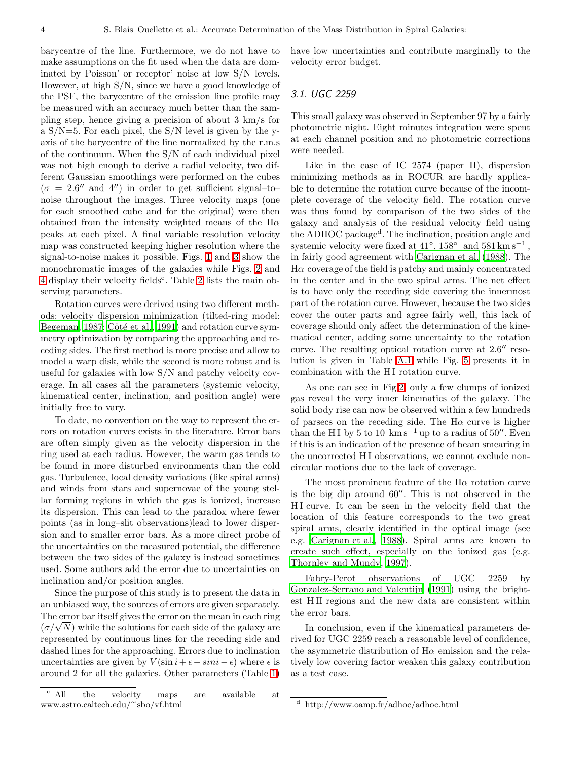barycentre of the line. Furthermore, we do not have to make assumptions on the fit used when the data are dominated by Poisson' or receptor' noise at low S/N levels. However, at high S/N, since we have a good knowledge of the PSF, the barycentre of the emission line profile may be measured with an accuracy much better than the sampling step, hence giving a precision of about 3 km/s for a  $S/N=5$ . For each pixel, the  $S/N$  level is given by the yaxis of the barycentre of the line normalized by the r.m.s of the continuum. When the S/N of each individual pixel was not high enough to derive a radial velocity, two different Gaussian smoothings were performed on the cubes  $(\sigma = 2.6''$  and 4") in order to get sufficient signal-tonoise throughout the images. Three velocity maps (one for each smoothed cube and for the original) were then obtained from the intensity weighted means of the  $H\alpha$ peaks at each pixel. A final variable resolution velocity map was constructed keeping higher resolution where the signal-to-noise makes it possible. Figs. [1](#page-4-0) and [3](#page-6-0) show the monochromatic images of the galaxies while Figs. [2](#page-5-0) and [4](#page-7-0) display their velocity fields<sup>c</sup>. Table [2](#page-2-1) lists the main observing parameters.

Rotation curves were derived using two different methods: velocity dispersion minimization (tilted-ring model: [Begeman, 1987;](#page-12-2) Côté et al., [1991](#page-13-19)) and rotation curve symmetry optimization by comparing the approaching and receding sides. The first method is more precise and allow to model a warp disk, while the second is more robust and is useful for galaxies with low S/N and patchy velocity coverage. In all cases all the parameters (systemic velocity, kinematical center, inclination, and position angle) were initially free to vary.

To date, no convention on the way to represent the errors on rotation curves exists in the literature. Error bars are often simply given as the velocity dispersion in the ring used at each radius. However, the warm gas tends to be found in more disturbed environments than the cold gas. Turbulence, local density variations (like spiral arms) and winds from stars and supernovae of the young stellar forming regions in which the gas is ionized, increase its dispersion. This can lead to the paradox where fewer points (as in long–slit observations)lead to lower dispersion and to smaller error bars. As a more direct probe of the uncertainties on the measured potential, the difference between the two sides of the galaxy is instead sometimes used. Some authors add the error due to uncertainties on inclination and/or position angles.

Since the purpose of this study is to present the data in an unbiased way, the sources of errors are given separately. The error bar itself gives the error on the mean in each ring  $(\sigma/\sqrt{N})$  while the solutions for each side of the galaxy are represented by continuous lines for the receding side and dashed lines for the approaching. Errors due to inclination uncertainties are given by  $V(\sin i+\epsilon-sini-\epsilon)$  where  $\epsilon$  is around 2 for all the galaxies. Other parameters (Table [1\)](#page-1-1)

have low uncertainties and contribute marginally to the velocity error budget.

### 3.1. UGC 2259

This small galaxy was observed in September 97 by a fairly photometric night. Eight minutes integration were spent at each channel position and no photometric corrections were needed.

Like in the case of IC 2574 (paper II), dispersion minimizing methods as in ROCUR are hardly applicable to determine the rotation curve because of the incomplete coverage of the velocity field. The rotation curve was thus found by comparison of the two sides of the galaxy and analysis of the residual velocity field using the ADHOC package<sup>d</sup> . The inclination, position angle and systemic velocity were fixed at  $41^{\circ}$ ,  $158^{\circ}$  and  $581 \,\mathrm{km \, s^{-1}}$ , in fairly good agreement with [Carignan et al. \(1988\)](#page-13-10). The  $H\alpha$  coverage of the field is patchy and mainly concentrated in the center and in the two spiral arms. The net effect is to have only the receding side covering the innermost part of the rotation curve. However, because the two sides cover the outer parts and agree fairly well, this lack of coverage should only affect the determination of the kinematical center, adding some uncertainty to the rotation curve. The resulting optical rotation curve at 2.6′′ resolution is given in Table [A.1](#page-17-0) while Fig. [5](#page-8-0) presents it in combination with the HI rotation curve.

As one can see in Fig[.2,](#page-5-0) only a few clumps of ionized gas reveal the very inner kinematics of the galaxy. The solid body rise can now be observed within a few hundreds of parsecs on the receding side. The  $H\alpha$  curve is higher than the HI by 5 to 10 km s<sup>-1</sup> up to a radius of 50″. Even if this is an indication of the presence of beam smearing in the uncorrected HI observations, we cannot exclude noncircular motions due to the lack of coverage.

The most prominent feature of the  $H\alpha$  rotation curve is the big dip around 60′′. This is not observed in the H I curve. It can be seen in the velocity field that the location of this feature corresponds to the two great spiral arms, clearly identified in the optical image (see e.g. [Carignan et al.](#page-13-10), [1988](#page-13-10)). Spiral arms are known to create such effect, especially on the ionized gas (e.g. [Thornley and Mundy](#page-13-15), [1997](#page-13-15)).

Fabry-Perot observations of UGC 2259 by [Gonzalez-Serrano and Valentijn \(1991](#page-13-20)) using the brightest H II regions and the new data are consistent within the error bars.

In conclusion, even if the kinematical parameters derived for UGC 2259 reach a reasonable level of confidence, the asymmetric distribution of  $H\alpha$  emission and the relatively low covering factor weaken this galaxy contribution as a test case.

<sup>c</sup> All the velocity maps are available at www.astro.caltech.edu/<sup>∼</sup> sbo/vf.html

<sup>d</sup> http://www.oamp.fr/adhoc/adhoc.html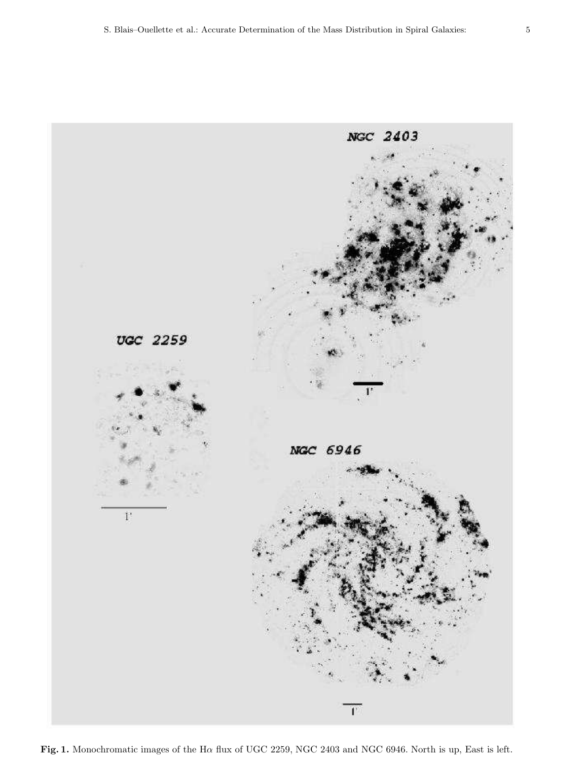

<span id="page-4-0"></span>Fig. 1. Monochromatic images of the H $\alpha$  flux of UGC 2259, NGC 2403 and NGC 6946. North is up, East is left.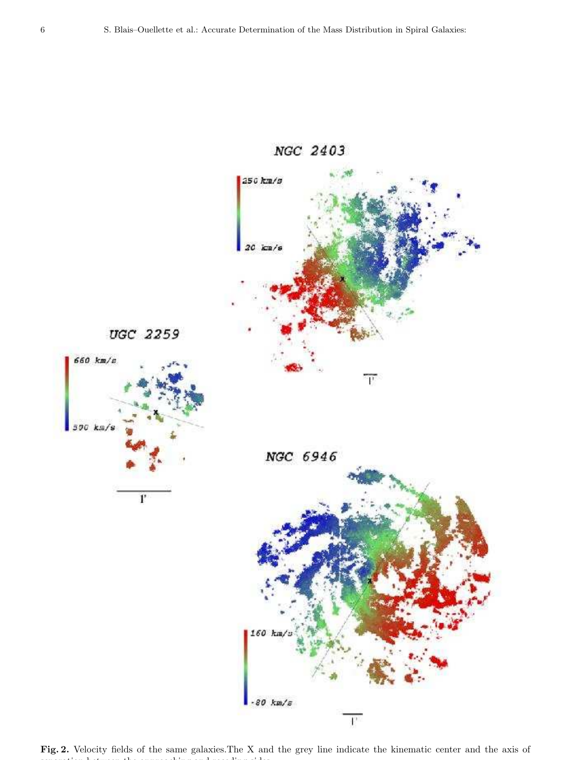

<span id="page-5-0"></span>Fig. 2. Velocity fields of the same galaxies.The X and the grey line indicate the kinematic center and the axis of separation between the approaching and receding sides.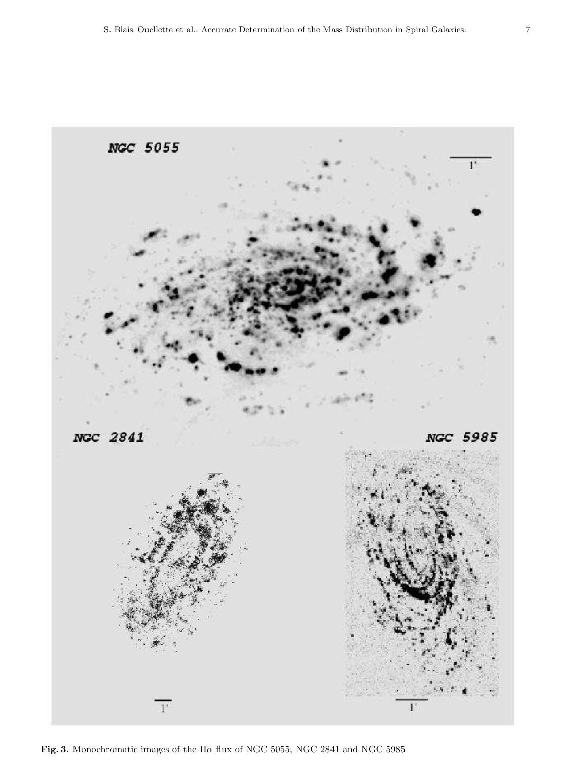

<span id="page-6-0"></span>Fig. 3. Monochromatic images of the H $\alpha$  flux of NGC 5055, NGC 2841 and NGC 5985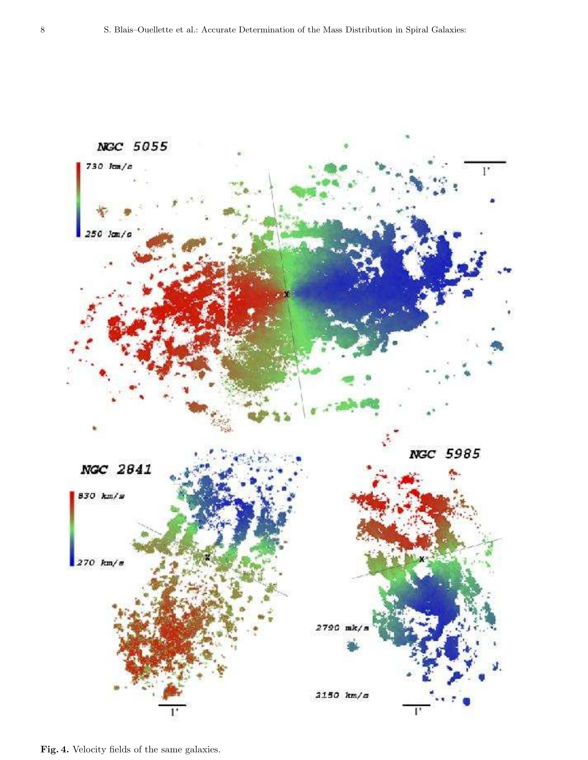

<span id="page-7-0"></span>Fig. 4. Velocity fields of the same galaxies.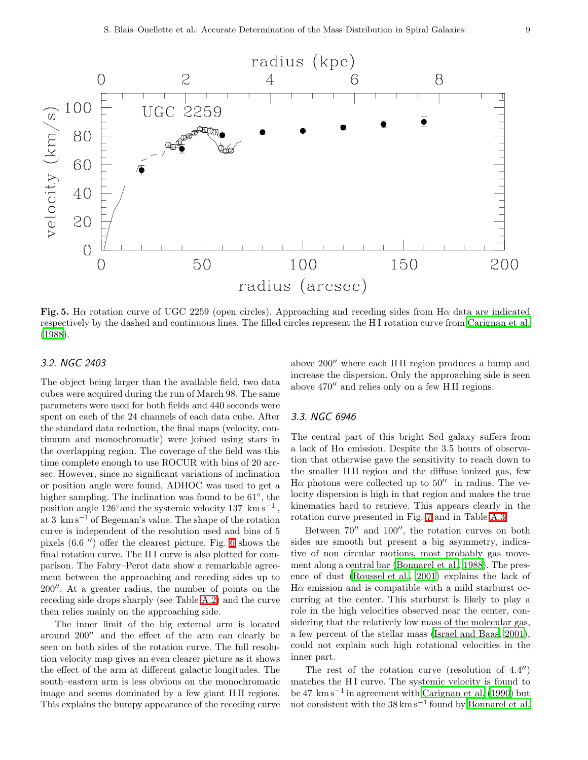

<span id="page-8-0"></span>Fig. 5. Ha rotation curve of UGC 2259 (open circles). Approaching and receding sides from H $\alpha$  data are indicated respectively by the dashed and continuous lines. The filled circles represent the H I rotation curve from [Carignan et al.](#page-13-10) [\(1988\)](#page-13-10).

## 3.2. NGC 2403

The object being larger than the available field, two data cubes were acquired during the run of March 98. The same parameters were used for both fields and 440 seconds were spent on each of the 24 channels of each data cube. After the standard data reduction, the final maps (velocity, continuum and monochromatic) were joined using stars in the overlapping region. The coverage of the field was this time complete enough to use ROCUR with bins of 20 arcsec. However, since no significant variations of inclination or position angle were found, ADHOC was used to get a higher sampling. The inclination was found to be 61◦ , the position angle  $126°$  and the systemic velocity  $137 \text{ km s}^{-1}$ , at 3 km s−<sup>1</sup> of Begeman's value. The shape of the rotation curve is independent of the resolution used and bins of 5 pixels (6.6 ′′) offer the clearest picture. Fig. [6](#page-9-1) shows the final rotation curve. The HI curve is also plotted for comparison. The Fabry–Perot data show a remarkable agreement between the approaching and receding sides up to 200′′. At a greater radius, the number of points on the receding side drops sharply (see Table [A.2\)](#page-18-0) and the curve then relies mainly on the approaching side.

The inner limit of the big external arm is located around 200′′ and the effect of the arm can clearly be seen on both sides of the rotation curve. The full resolution velocity map gives an even clearer picture as it shows the effect of the arm at different galactic longitudes. The south–eastern arm is less obvious on the monochromatic image and seems dominated by a few giant H II regions. This explains the bumpy appearance of the receding curve above 200′′ where each H II region produces a bump and increase the dispersion. Only the approaching side is seen above 470′′ and relies only on a few H II regions.

### 3.3. NGC 6946

The central part of this bright Scd galaxy suffers from a lack of  $H\alpha$  emission. Despite the 3.5 hours of observation that otherwise gave the sensitivity to reach down to the smaller H II region and the diffuse ionized gas, few H $\alpha$  photons were collected up to 50<sup> $\prime\prime$ </sup> in radius. The velocity dispersion is high in that region and makes the true kinematics hard to retrieve. This appears clearly in the rotation curve presented in Fig. [7](#page-10-0) and in Table [A.3.](#page-20-0)

Between 70′′ and 100′′, the rotation curves on both sides are smooth but present a big asymmetry, indicative of non circular motions, most probably gas movement along a central bar [\(Bonnarel et al., 1988\)](#page-13-21). The presence of dust [\(Roussel et al.](#page-13-22), [2001\)](#page-13-22) explains the lack of  $H\alpha$  emission and is compatible with a mild starburst occurring at the center. This starburst is likely to play a role in the high velocities observed near the center, considering that the relatively low mass of the molecular gas, a few percent of the stellar mass [\(Israel and Baas, 2001\)](#page-13-23), could not explain such high rotational velocities in the inner part.

The rest of the rotation curve (resolution of 4.4′′) matches the HI curve. The systemic velocity is found to be 47 km s<sup>−</sup><sup>1</sup> in agreement with [Carignan et al. \(1990](#page-13-11)) but not consistent with the  $38 \text{ km s}^{-1}$  found by [Bonnarel et al.](#page-13-21)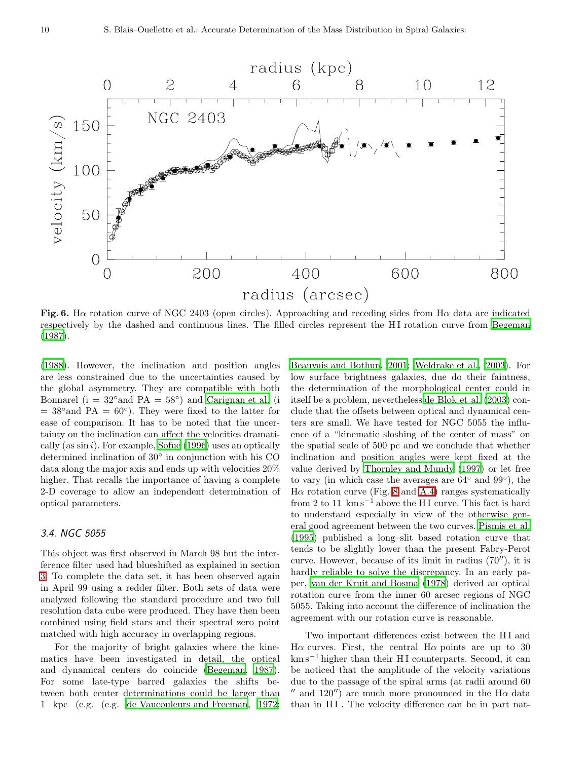

<span id="page-9-1"></span>Fig. 6. Ha rotation curve of NGC 2403 (open circles). Approaching and receding sides from H $\alpha$  data are indicated respectively by the dashed and continuous lines. The filled circles represent the H I rotation curve from [Begeman](#page-12-2) [\(1987\)](#page-12-2).

[\(1988\)](#page-13-21). However, the inclination and position angles are less constrained due to the uncertainties caused by the global asymmetry. They are compatible with both Bonnarel ( $i = 32°$  and  $PA = 58°$ ) and [Carignan et al.](#page-13-11) (i  $= 38°$  and PA  $= 60°$ ). They were fixed to the latter for ease of comparison. It has to be noted that the uncertainty on the inclination can affect the velocities dramatically (as  $\sin i$ ). For example, [Sofue \(1996\)](#page-13-24) uses an optically determined inclination of 30◦ in conjunction with his CO data along the major axis and ends up with velocities 20% higher. That recalls the importance of having a complete 2-D coverage to allow an independent determination of optical parameters.

#### <span id="page-9-0"></span>3.4. NGC 5055

This object was first observed in March 98 but the interference filter used had blueshifted as explained in section [3.](#page-2-0) To complete the data set, it has been observed again in April 99 using a redder filter. Both sets of data were analyzed following the standard procedure and two full resolution data cube were produced. They have then been combined using field stars and their spectral zero point matched with high accuracy in overlapping regions.

For the majority of bright galaxies where the kinematics have been investigated in detail, the optical and dynamical centers do coincide [\(Begeman, 1987\)](#page-12-2). For some late-type barred galaxies the shifts between both center determinations could be larger than 1 kpc (e.g. (e.g. [de Vaucouleurs and Freeman](#page-13-25), [1972;](#page-13-25) [Beauvais and Bothun](#page-12-5), [2001](#page-12-5); [Weldrake et al.](#page-13-26), [2003\)](#page-13-26). For low surface brightness galaxies, due do their faintness, the determination of the morphological center could in itself be a problem, nevertheless [de Blok et al. \(2003\)](#page-13-2) conclude that the offsets between optical and dynamical centers are small. We have tested for NGC 5055 the influence of a "kinematic sloshing of the center of mass" on the spatial scale of 500 pc and we conclude that whether inclination and position angles were kept fixed at the value derived by [Thornley and Mundy \(1997\)](#page-13-15) or let free to vary (in which case the averages are  $64^{\circ}$  and  $99^{\circ}$ ), the H $\alpha$  rotation curve (Fig. [8](#page-11-0) and [A.4\)](#page-22-0) ranges systematically from 2 to 11  $\mathrm{km s}^{-1}$  above the HI curve. This fact is hard to understand especially in view of the otherwise general good agreement between the two curves. [Pismis et al.](#page-13-27) [\(1995\)](#page-13-27) published a long–slit based rotation curve that tends to be slightly lower than the present Fabry-Perot curve. However, because of its limit in radius (70′′), it is hardly reliable to solve the discrepancy. In an early paper, [van der Kruit and Bosma \(1978\)](#page-13-28) derived an optical rotation curve from the inner 60 arcsec regions of NGC 5055. Taking into account the difference of inclination the agreement with our rotation curve is reasonable.

Two important differences exist between the H I and Hα curves. First, the central Hα points are up to 30  $km s^{-1}$  higher than their HI counterparts. Second, it can be noticed that the amplitude of the velocity variations due to the passage of the spiral arms (at radii around 60  $'$  and 120'') are much more pronounced in the H $\alpha$  data than in HI. The velocity difference can be in part nat-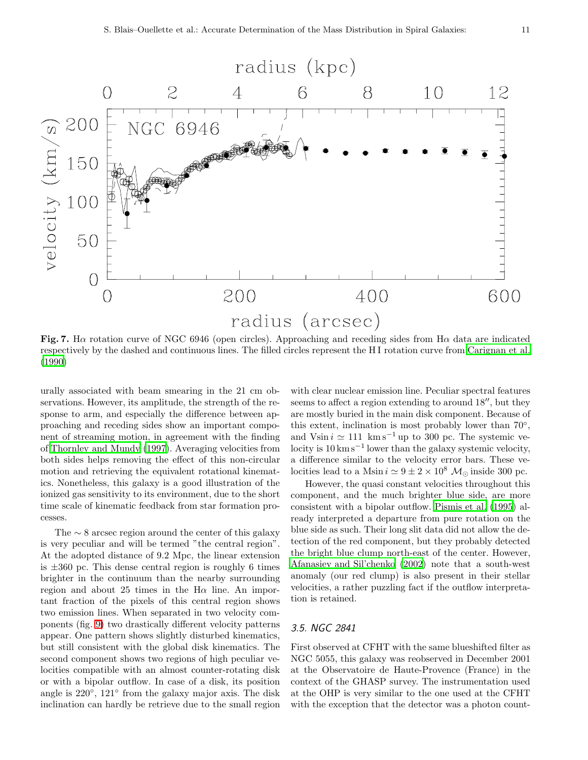

<span id="page-10-0"></span>Fig. 7. Ha rotation curve of NGC 6946 (open circles). Approaching and receding sides from H $\alpha$  data are indicated respectively by the dashed and continuous lines. The filled circles represent the H I rotation curve from [Carignan et al.](#page-13-11) [\(1990\)](#page-13-11)

urally associated with beam smearing in the 21 cm observations. However, its amplitude, the strength of the response to arm, and especially the difference between approaching and receding sides show an important component of streaming motion, in agreement with the finding of [Thornley and Mundy \(1997\)](#page-13-15). Averaging velocities from both sides helps removing the effect of this non-circular motion and retrieving the equivalent rotational kinematics. Nonetheless, this galaxy is a good illustration of the ionized gas sensitivity to its environment, due to the short time scale of kinematic feedback from star formation processes.

The  $\sim$  8 arcsec region around the center of this galaxy is very peculiar and will be termed "the central region". At the adopted distance of 9.2 Mpc, the linear extension is  $\pm 360$  pc. This dense central region is roughly 6 times brighter in the continuum than the nearby surrounding region and about 25 times in the  $H\alpha$  line. An important fraction of the pixels of this central region shows two emission lines. When separated in two velocity components (fig. [9\)](#page-14-0) two drastically different velocity patterns appear. One pattern shows slightly disturbed kinematics, but still consistent with the global disk kinematics. The second component shows two regions of high peculiar velocities compatible with an almost counter-rotating disk or with a bipolar outflow. In case of a disk, its position angle is  $220^\circ$ ,  $121^\circ$  from the galaxy major axis. The disk inclination can hardly be retrieve due to the small region

with clear nuclear emission line. Peculiar spectral features seems to affect a region extending to around 18′′, but they are mostly buried in the main disk component. Because of this extent, inclination is most probably lower than  $70^{\circ}$ , and Vsin  $i \approx 111 \text{ km s}^{-1}$  up to 300 pc. The systemic velocity is 10 km s<sup>−</sup><sup>1</sup> lower than the galaxy systemic velocity, a difference similar to the velocity error bars. These velocities lead to a Msin  $i \approx 9 \pm 2 \times 10^8$  M<sub>☉</sub> inside 300 pc.

However, the quasi constant velocities throughout this component, and the much brighter blue side, are more consistent with a bipolar outflow. [Pismis et al. \(1995](#page-13-27)) already interpreted a departure from pure rotation on the blue side as such. Their long slit data did not allow the detection of the red component, but they probably detected the bright blue clump north-east of the center. However, [Afanasiev and Sil'chenko \(2002](#page-12-6)) note that a south-west anomaly (our red clump) is also present in their stellar velocities, a rather puzzling fact if the outflow interpretation is retained.

#### 3.5. NGC 2841

First observed at CFHT with the same blueshifted filter as NGC 5055, this galaxy was reobserved in December 2001 at the Observatoire de Haute-Provence (France) in the context of the GHASP survey. The instrumentation used at the OHP is very similar to the one used at the CFHT with the exception that the detector was a photon count-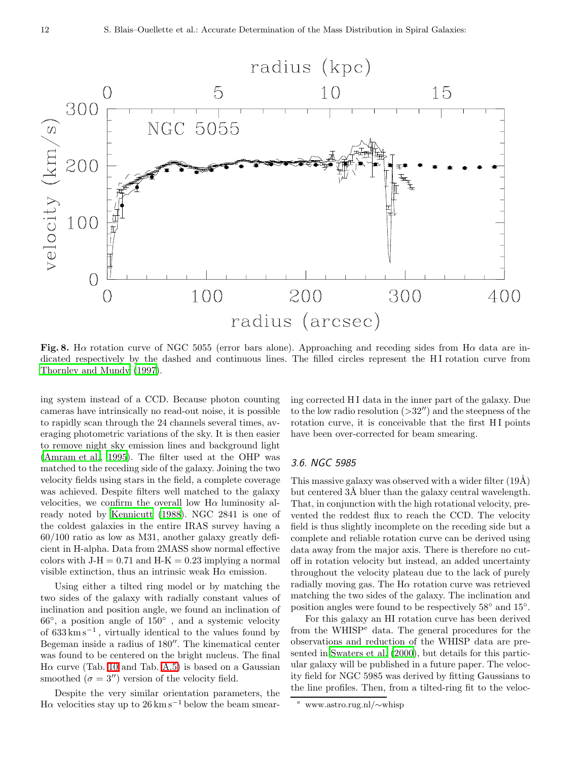

<span id="page-11-0"></span>Fig. 8. Ha rotation curve of NGC 5055 (error bars alone). Approaching and receding sides from H $\alpha$  data are indicated respectively by the dashed and continuous lines. The filled circles represent the HI rotation curve from [Thornley and Mundy \(1997\)](#page-13-15).

ing system instead of a CCD. Because photon counting cameras have intrinsically no read-out noise, it is possible to rapidly scan through the 24 channels several times, averaging photometric variations of the sky. It is then easier to remove night sky emission lines and background light [\(Amram et al.](#page-12-7), [1995](#page-12-7)). The filter used at the OHP was matched to the receding side of the galaxy. Joining the two velocity fields using stars in the field, a complete coverage was achieved. Despite filters well matched to the galaxy velocities, we confirm the overall low  $H\alpha$  luminosity already noted by [Kennicutt \(1988\)](#page-13-29). NGC 2841 is one of the coldest galaxies in the entire IRAS survey having a 60/100 ratio as low as M31, another galaxy greatly deficient in H-alpha. Data from 2MASS show normal effective colors with  $J-H = 0.71$  and  $H-K = 0.23$  implying a normal visible extinction, thus an intrinsic weak  $H\alpha$  emission.

Using either a tilted ring model or by matching the two sides of the galaxy with radially constant values of inclination and position angle, we found an inclination of 66◦ , a position angle of 150◦ , and a systemic velocity of 633 km s<sup>−</sup><sup>1</sup> , virtually identical to the values found by Begeman inside a radius of 180′′. The kinematical center was found to be centered on the bright nucleus. The final  $H\alpha$  curve (Tab. [10](#page-15-0) and Tab. [A.5\)](#page-25-0) is based on a Gaussian smoothed  $(\sigma = 3'')$  version of the velocity field.

Despite the very similar orientation parameters, the H $\alpha$  velocities stay up to 26 km s<sup>-1</sup> below the beam smearing corrected H I data in the inner part of the galaxy. Due to the low radio resolution  $(>32'')$  and the steepness of the rotation curve, it is conceivable that the first HI points have been over-corrected for beam smearing.

#### 3.6. NGC 5985

This massive galaxy was observed with a wider filter  $(19\text{\AA})$ but centered 3Å bluer than the galaxy central wavelength. That, in conjunction with the high rotational velocity, prevented the reddest flux to reach the CCD. The velocity field is thus slightly incomplete on the receding side but a complete and reliable rotation curve can be derived using data away from the major axis. There is therefore no cutoff in rotation velocity but instead, an added uncertainty throughout the velocity plateau due to the lack of purely radially moving gas. The  $H\alpha$  rotation curve was retrieved matching the two sides of the galaxy. The inclination and position angles were found to be respectively  $58°$  and  $15°$ .

For this galaxy an HI rotation curve has been derived from the WHISP<sup>e</sup> data. The general procedures for the observations and reduction of the WHISP data are presented in [Swaters et al. \(2000\)](#page-13-17), but details for this particular galaxy will be published in a future paper. The velocity field for NGC 5985 was derived by fitting Gaussians to the line profiles. Then, from a tilted-ring fit to the veloc-

<sup>e</sup> www.astro.rug.nl/∼whisp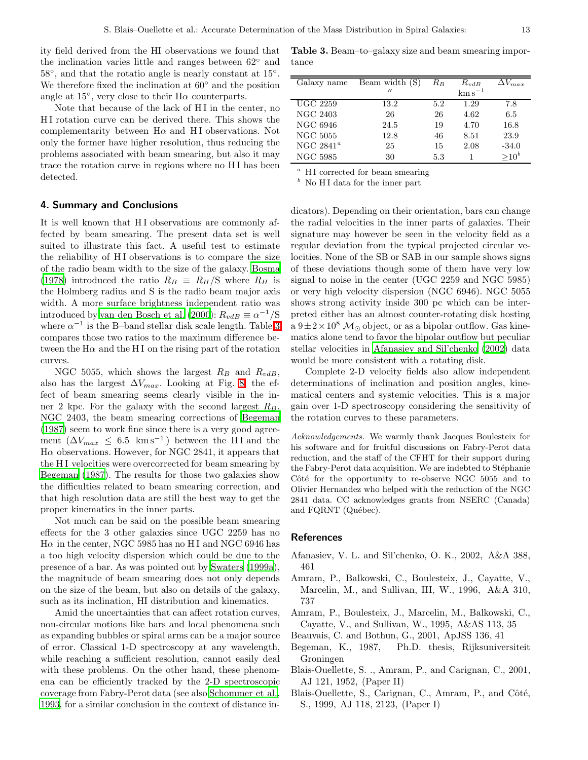ity field derived from the HI observations we found that the inclination varies little and ranges between 62◦ and 58°, and that the rotatio angle is nearly constant at 15°. We therefore fixed the inclination at 60◦ and the position angle at  $15^{\circ}$ , very close to their  $H\alpha$  counterparts.

Note that because of the lack of HI in the center, no H I rotation curve can be derived there. This shows the complementarity between  $H\alpha$  and HI observations. Not only the former have higher resolution, thus reducing the problems associated with beam smearing, but also it may trace the rotation curve in regions where no H I has been detected.

#### <span id="page-12-4"></span>4. Summary and Conclusions

It is well known that HI observations are commonly affected by beam smearing. The present data set is well suited to illustrate this fact. A useful test to estimate the reliability of HI observations is to compare the size of the radio beam width to the size of the galaxy. [Bosma](#page-13-30) [\(1978\)](#page-13-30) introduced the ratio  $R_B \equiv R_H/S$  where  $R_H$  is the Holmberg radius and S is the radio beam major axis width. A more surface brightness independent ratio was introduced by [van den Bosch et al. \(2000\)](#page-13-6):  $R_{vdB} \equiv \alpha^{-1}/S$ where  $\alpha^{-1}$  is the B-band stellar disk scale length. Table [3](#page-12-8) compares those two ratios to the maximum difference between the  $H\alpha$  and the HI on the rising part of the rotation curves.

NGC 5055, which shows the largest  $R_B$  and  $R_{vdB}$ , also has the largest  $\Delta V_{max}$ . Looking at Fig. [8,](#page-11-0) the effect of beam smearing seems clearly visible in the inner 2 kpc. For the galaxy with the second largest  $R_B$ , NGC 2403, the beam smearing corrections of [Begeman](#page-12-2) [\(1987\)](#page-12-2) seem to work fine since there is a very good agreement  $(\Delta V_{max} \leq 6.5 \text{ km s}^{-1})$  between the HI and the  $H\alpha$  observations. However, for NGC 2841, it appears that the H<sub>I</sub> velocities were overcorrected for beam smearing by [Begeman \(1987](#page-12-2)). The results for those two galaxies show the difficulties related to beam smearing correction, and that high resolution data are still the best way to get the proper kinematics in the inner parts.

Not much can be said on the possible beam smearing effects for the 3 other galaxies since UGC 2259 has no  $H\alpha$  in the center, NGC 5985 has no HI and NGC 6946 has a too high velocity dispersion which could be due to the presence of a bar. As was pointed out by [Swaters \(1999a\)](#page-13-31), the magnitude of beam smearing does not only depends on the size of the beam, but also on details of the galaxy, such as its inclination, HI distribution and kinematics.

Amid the uncertainties that can affect rotation curves, non-circular motions like bars and local phenomena such as expanding bubbles or spiral arms can be a major source of error. Classical 1-D spectroscopy at any wavelength, while reaching a sufficient resolution, cannot easily deal with these problems. On the other hand, these phenomena can be efficiently tracked by the 2-D spectroscopic coverage from Fabry-Perot data (see also [Schommer et al.,](#page-13-16) [1993](#page-13-16), for a similar conclusion in the context of distance in-

<span id="page-12-8"></span>Table 3. Beam–to–galaxy size and beam smearing importance

| Galaxy name     | Beam width (S)    | $R_B$ | $R_{vdB}$             | $\Delta V_{max}$ |
|-----------------|-------------------|-------|-----------------------|------------------|
|                 | $^{\prime\prime}$ |       | $\mathrm{km\,s}^{-1}$ |                  |
| <b>UGC 2259</b> | 13.2              | 5.2   | 1.29                  | 7.8              |
| <b>NGC 2403</b> | 26                | 26    | 4.62                  | 6.5              |
| NGC 6946        | 24.5              | 19    | 4.70                  | 16.8             |
| <b>NGC 5055</b> | 12.8              | 46    | 8.51                  | 23.9             |
| NGC $2841^a$    | 25                | 15    | 2.08                  | $-34.0$          |
| <b>NGC 5985</b> | 30                | 5.3   |                       | $> 10^b$         |

 $a$  H I corrected for beam smearing

 $\bar{b}$  No H<sub>I</sub> data for the inner part

dicators). Depending on their orientation, bars can change the radial velocities in the inner parts of galaxies. Their signature may however be seen in the velocity field as a regular deviation from the typical projected circular velocities. None of the SB or SAB in our sample shows signs of these deviations though some of them have very low signal to noise in the center (UGC 2259 and NGC 5985) or very high velocity dispersion (NGC 6946). NGC 5055 shows strong activity inside 300 pc which can be interpreted either has an almost counter-rotating disk hosting a  $9\pm2\times10^8$  M<sub> $\odot$ </sub> object, or as a bipolar outflow. Gas kinematics alone tend to favor the bipolar outflow but peculiar stellar velocities in [Afanasiev and Sil'chenko \(2002](#page-12-6)) data would be more consistent with a rotating disk.

Complete 2-D velocity fields also allow independent determinations of inclination and position angles, kinematical centers and systemic velocities. This is a major gain over 1-D spectroscopy considering the sensitivity of the rotation curves to these parameters.

Acknowledgements. We warmly thank Jacques Boulesteix for his software and for fruitful discussions on Fabry-Perot data reduction, and the staff of the CFHT for their support during the Fabry-Perot data acquisition. We are indebted to Stéphanie Côté for the opportunity to re-observe NGC 5055 and to Olivier Hernandez who helped with the reduction of the NGC 2841 data. CC acknowledges grants from NSERC (Canada) and FQRNT (Québec).

#### References

- <span id="page-12-6"></span>Afanasiev, V. L. and Sil'chenko, O. K., 2002, A&A 388, 461
- <span id="page-12-3"></span>Amram, P., Balkowski, C., Boulesteix, J., Cayatte, V., Marcelin, M., and Sullivan, III, W., 1996, A&A 310, 737
- <span id="page-12-7"></span>Amram, P., Boulesteix, J., Marcelin, M., Balkowski, C., Cayatte, V., and Sullivan, W., 1995, A&AS 113, 35
- <span id="page-12-5"></span>Beauvais, C. and Bothun, G., 2001, ApJSS 136, 41
- <span id="page-12-2"></span>Begeman, K., 1987, Ph.D. thesis, Rijksuniversiteit Groningen
- <span id="page-12-1"></span>Blais-Ouellette, S. ., Amram, P., and Carignan, C., 2001, AJ 121, 1952, (Paper II)
- <span id="page-12-0"></span>Blais-Ouellette, S., Carignan, C., Amram, P., and Côté, S., 1999, AJ 118, 2123, (Paper I)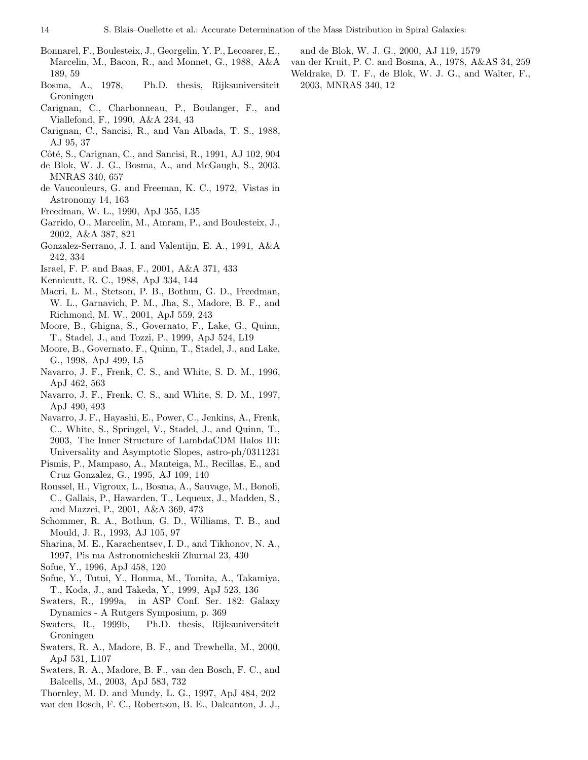- <span id="page-13-21"></span>Bonnarel, F., Boulesteix, J., Georgelin, Y. P., Lecoarer, E., Marcelin, M., Bacon, R., and Monnet, G., 1988, A&A 189, 59
- <span id="page-13-30"></span>Bosma, A., 1978, Ph.D. thesis, Rijksuniversiteit Groningen
- <span id="page-13-11"></span>Carignan, C., Charbonneau, P., Boulanger, F., and Viallefond, F., 1990, A&A 234, 43
- <span id="page-13-10"></span>Carignan, C., Sancisi, R., and Van Albada, T. S., 1988, AJ 95, 37
- <span id="page-13-19"></span>Côté, S., Carignan, C., and Sancisi, R., 1991, AJ 102, 904
- <span id="page-13-2"></span>de Blok, W. J. G., Bosma, A., and McGaugh, S., 2003, MNRAS 340, 657
- <span id="page-13-25"></span>de Vaucouleurs, G. and Freeman, K. C., 1972, Vistas in Astronomy 14, 163
- <span id="page-13-18"></span><span id="page-13-12"></span>Freedman, W. L., 1990, ApJ 355, L35
- Garrido, O., Marcelin, M., Amram, P., and Boulesteix, J., 2002, A&A 387, 821
- <span id="page-13-20"></span>Gonzalez-Serrano, J. I. and Valentijn, E. A., 1991, A&A 242, 334
- <span id="page-13-29"></span><span id="page-13-23"></span>Israel, F. P. and Baas, F., 2001, A&A 371, 433
- Kennicutt, R. C., 1988, ApJ 334, 144
- <span id="page-13-13"></span>Macri, L. M., Stetson, P. B., Bothun, G. D., Freedman, W. L., Garnavich, P. M., Jha, S., Madore, B. F., and Richmond, M. W., 2001, ApJ 559, 243
- <span id="page-13-1"></span>Moore, B., Ghigna, S., Governato, F., Lake, G., Quinn, T., Stadel, J., and Tozzi, P., 1999, ApJ 524, L19
- <span id="page-13-9"></span>Moore, B., Governato, F., Quinn, T., Stadel, J., and Lake, G., 1998, ApJ 499, L5
- <span id="page-13-0"></span>Navarro, J. F., Frenk, C. S., and White, S. D. M., 1996, ApJ 462, 563
- <span id="page-13-8"></span>Navarro, J. F., Frenk, C. S., and White, S. D. M., 1997, ApJ 490, 493
- <span id="page-13-4"></span>Navarro, J. F., Hayashi, E., Power, C., Jenkins, A., Frenk, C., White, S., Springel, V., Stadel, J., and Quinn, T., 2003, The Inner Structure of LambdaCDM Halos III: Universality and Asymptotic Slopes, astro-ph/0311231
- <span id="page-13-27"></span>Pismis, P., Mampaso, A., Manteiga, M., Recillas, E., and Cruz Gonzalez, G., 1995, AJ 109, 140
- <span id="page-13-22"></span>Roussel, H., Vigroux, L., Bosma, A., Sauvage, M., Bonoli, C., Gallais, P., Hawarden, T., Lequeux, J., Madden, S., and Mazzei, P., 2001, A&A 369, 473
- <span id="page-13-16"></span>Schommer, R. A., Bothun, G. D., Williams, T. B., and Mould, J. R., 1993, AJ 105, 97
- <span id="page-13-14"></span>Sharina, M. E., Karachentsev, I. D., and Tikhonov, N. A., 1997, Pis ma Astronomicheskii Zhurnal 23, 430
- <span id="page-13-24"></span>Sofue, Y., 1996, ApJ 458, 120
- <span id="page-13-7"></span>Sofue, Y., Tutui, Y., Honma, M., Tomita, A., Takamiya, T., Koda, J., and Takeda, Y., 1999, ApJ 523, 136
- <span id="page-13-31"></span>Swaters, R., 1999a, in ASP Conf. Ser. 182: Galaxy Dynamics - A Rutgers Symposium, p. 369
- <span id="page-13-5"></span>Swaters, R., 1999b, Ph.D. thesis, Rijksuniversiteit Groningen
- <span id="page-13-17"></span>Swaters, R. A., Madore, B. F., and Trewhella, M., 2000, ApJ 531, L107
- <span id="page-13-3"></span>Swaters, R. A., Madore, B. F., van den Bosch, F. C., and Balcells, M., 2003, ApJ 583, 732
- <span id="page-13-15"></span>Thornley, M. D. and Mundy, L. G., 1997, ApJ 484, 202
- <span id="page-13-6"></span>van den Bosch, F. C., Robertson, B. E., Dalcanton, J. J.,

and de Blok, W. J. G., 2000, AJ 119, 1579

- <span id="page-13-28"></span><span id="page-13-26"></span>van der Kruit, P. C. and Bosma, A., 1978, A&AS 34, 259
- Weldrake, D. T. F., de Blok, W. J. G., and Walter, F., 2003, MNRAS 340, 12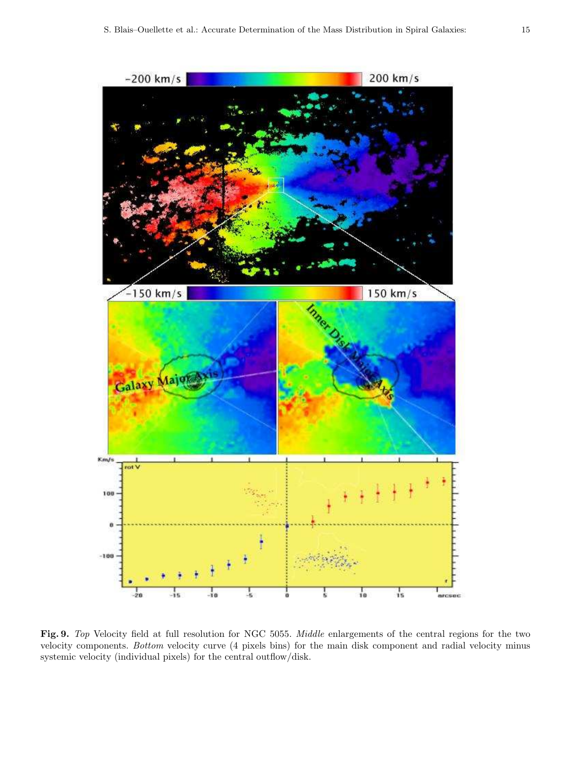

<span id="page-14-0"></span>Fig. 9. Top Velocity field at full resolution for NGC 5055. Middle enlargements of the central regions for the two velocity components. Bottom velocity curve (4 pixels bins) for the main disk component and radial velocity minus systemic velocity (individual pixels) for the central outflow/disk.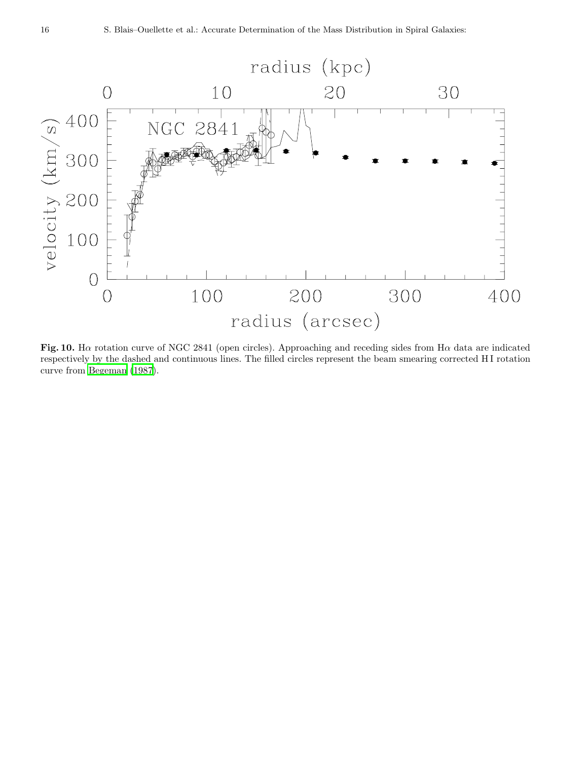

<span id="page-15-0"></span>Fig. 10. Ha rotation curve of NGC 2841 (open circles). Approaching and receding sides from H $\alpha$  data are indicated respectively by the dashed and continuous lines. The filled circles represent the beam smearing corrected H I rotation curve from [Begeman \(1987](#page-12-2)).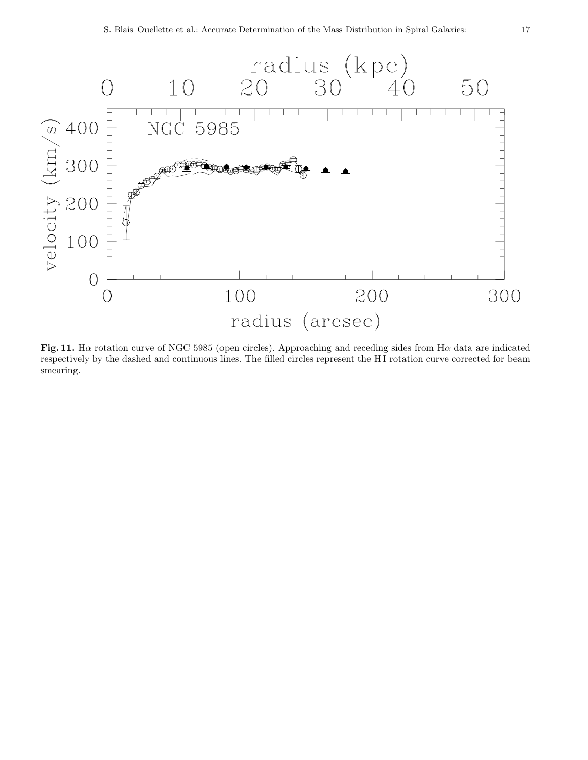

Fig. 11. Ha rotation curve of NGC 5985 (open circles). Approaching and receding sides from H $\alpha$  data are indicated respectively by the dashed and continuous lines. The filled circles represent the HI rotation curve corrected for beam smearing.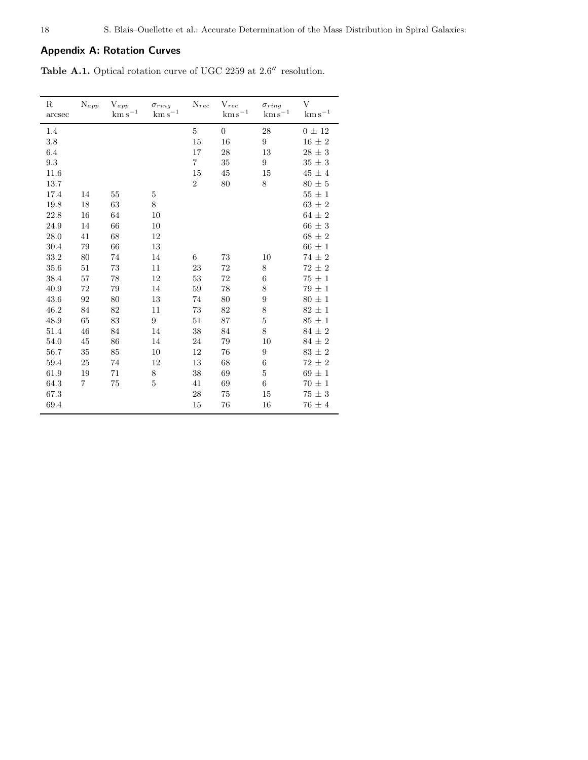# Appendix A: Rotation Curves

<span id="page-17-0"></span>Table A.1. Optical rotation curve of UGC 2259 at 2.6′′ resolution.

| $_{\rm R}$<br>arcsec | $\mathrm{N}_{app}$ | ${\rm V}_{app}$<br>$\rm km\,s^{-1}$ | $\sigma_{ring}$<br>$\rm km\,s^{-1}$ | $N_{rec}$      | $\mathbf{V}_{rec}$<br>$\mathrm{km\,s}^{-1}$ | $\sigma_{ring}$<br>$\rm km\,s^{-1}$ | $\overline{V}$<br>$\mathrm{km\,s}^{-1}$ |
|----------------------|--------------------|-------------------------------------|-------------------------------------|----------------|---------------------------------------------|-------------------------------------|-----------------------------------------|
| 1.4                  |                    |                                     |                                     | 5              | $\boldsymbol{0}$                            | 28                                  | $0 \pm 12$                              |
| 3.8                  |                    |                                     |                                     | 15             | 16                                          | $\boldsymbol{9}$                    | $16 \pm 2$                              |
| 6.4                  |                    |                                     |                                     | 17             | 28                                          | 13                                  | $28\,\pm\,3$                            |
| 9.3                  |                    |                                     |                                     | $\overline{7}$ | $35\,$                                      | 9                                   | $35 \pm 3$                              |
| 11.6                 |                    |                                     |                                     | 15             | 45                                          | 15                                  | $45\,\pm\,4$                            |
| 13.7                 |                    |                                     |                                     | $\overline{2}$ | 80                                          | 8                                   | $80\,\pm\,5$                            |
| 17.4                 | 14                 | $55\,$                              | $\bf 5$                             |                |                                             |                                     | $55 \pm 1$                              |
| 19.8                 | 18                 | 63                                  | 8                                   |                |                                             |                                     | $63 \pm 2$                              |
| 22.8                 | 16                 | 64                                  | 10                                  |                |                                             |                                     | $64 \pm 2$                              |
| 24.9                 | 14                 | 66                                  | 10                                  |                |                                             |                                     | $66 \pm 3$                              |
| 28.0                 | 41                 | 68                                  | 12                                  |                |                                             |                                     | $68 \pm 2$                              |
| 30.4                 | 79                 | 66                                  | 13                                  |                |                                             |                                     | $66 \pm 1$                              |
| 33.2                 | 80                 | 74                                  | 14                                  | 6              | 73                                          | 10                                  | $74 \pm 2$                              |
| 35.6                 | 51                 | 73                                  | 11                                  | 23             | $72\,$                                      | 8                                   | $72 \pm 2$                              |
| 38.4                 | 57                 | 78                                  | 12                                  | 53             | $72\,$                                      | $\;6\;$                             | $75 \pm 1$                              |
| 40.9                 | 72                 | 79                                  | 14                                  | 59             | 78                                          | 8                                   | $79 \pm 1$                              |
| 43.6                 | 92                 | 80                                  | 13                                  | 74             | 80                                          | 9                                   | $80 \pm 1$                              |
| 46.2                 | 84                 | 82                                  | 11                                  | 73             | 82                                          | 8                                   | $82 \pm 1$                              |
| 48.9                 | 65                 | 83                                  | 9                                   | 51             | 87                                          | $\overline{5}$                      | $85 \pm 1$                              |
| 51.4                 | 46                 | 84                                  | 14                                  | 38             | 84                                          | 8                                   | $84 \pm 2$                              |
| 54.0                 | 45                 | 86                                  | 14                                  | 24             | 79                                          | 10                                  | $84 \pm 2$                              |
| 56.7                 | 35                 | 85                                  | 10                                  | 12             | 76                                          | 9                                   | $83 \pm 2$                              |
| 59.4                 | 25                 | 74                                  | 12                                  | 13             | 68                                          | $\;6\;$                             | $72 \pm 2$                              |
| 61.9                 | 19                 | 71                                  | 8                                   | 38             | 69                                          | $\bf 5$                             | $69 \pm 1$                              |
| 64.3                 | 7                  | 75                                  | $\overline{5}$                      | 41             | 69                                          | $\boldsymbol{6}$                    | $70 \pm 1$                              |
| 67.3                 |                    |                                     |                                     | 28             | 75                                          | 15                                  | $75 \pm 3$                              |
| 69.4                 |                    |                                     |                                     | 15             | 76                                          | 16                                  | $76 \pm 4$                              |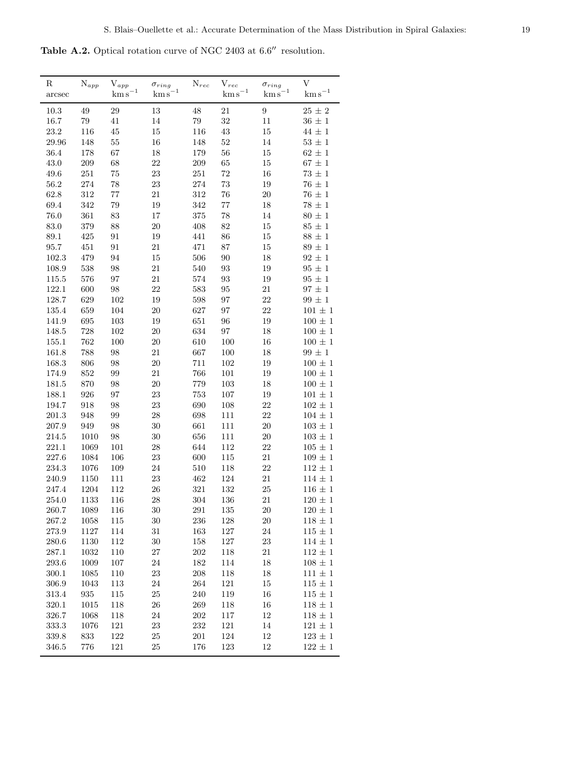<span id="page-18-0"></span>Table A.2. Optical rotation curve of NGC 2403 at 6.6′′ resolution.

| $_{\rm R}$<br>arcsec | $\mathrm{N}_{app}$ | ${\rm V}_{app}$<br>$\mathrm{km\,s}^{-1}$ | $\sigma_{ring}$<br>$km s^{-1}$ | $N_{rec}$             | $V_{rec}$<br>$\mathrm{km\,s}^{-1}$ | $\sigma_{ring}$<br>$\mathrm{km\,s}^{-1}$ | V<br>$\mathrm{km\,s}^{-1}$   |
|----------------------|--------------------|------------------------------------------|--------------------------------|-----------------------|------------------------------------|------------------------------------------|------------------------------|
|                      |                    |                                          |                                |                       |                                    |                                          |                              |
| 10.3                 | 49<br>79           | $\,29$                                   | 13<br>$14\,$                   | $\sqrt{48}$<br>$79\,$ | 21<br>$32\,$                       | $\boldsymbol{9}$                         | $25\,\pm\,2$                 |
| 16.7<br>23.2         | 116                | 41<br>45                                 | $15\,$                         | 116                   | $43\,$                             | 11<br>15                                 | $36\,\pm\,1$<br>$44\,\pm\,1$ |
| 29.96                | 148                | $55\,$                                   | 16                             | 148                   | $52\,$                             | 14                                       | $53\,\pm\,1$                 |
| 36.4                 | 178                | 67                                       | 18                             | 179                   | $56\,$                             | 15                                       | $62\,\pm\,1$                 |
| 43.0                 | $209\,$            | 68                                       | 22                             | $\,209$               | $65\,$                             | 15                                       | $67\,\pm\,1$                 |
| 49.6                 | $251\,$            | 75                                       | 23                             | $251\,$               | 72                                 | 16                                       | $73 \pm 1$                   |
| $56.2\,$             | $274\,$            | 78                                       | 23                             | 274                   | 73                                 | 19                                       | $76 \pm 1$                   |
| 62.8                 | 312                | $77\,$                                   | $21\,$                         | 312                   | $76\,$                             | $20\,$                                   | $76\,\pm\,1$                 |
| 69.4                 | 342                | 79                                       | 19                             | 342                   | $77\,$                             | 18                                       | $78\,\pm\,1$                 |
| 76.0                 | $361\,$            | 83                                       | $17\,$                         | 375                   | 78                                 | 14                                       | $80\,\pm\,1$                 |
| 83.0                 | 379                | 88                                       | $20\,$                         | 408                   | $82\,$                             | 15                                       | $85\,\pm\,1$                 |
| 89.1                 | 425                | 91                                       | 19                             | 441                   | $86\,$                             | $15\,$                                   | $88\,\pm\,1$                 |
| 95.7                 | $451\,$            | 91                                       | 21                             | 471                   | 87                                 | $15\,$                                   | $89 \pm 1$                   |
| 102.3                | 479                | 94                                       | $15\,$                         | 506                   | $90\,$                             | 18                                       | $92\,\pm\,1$                 |
| 108.9                | 538                | 98                                       | 21                             | 540                   | $\boldsymbol{93}$                  | 19                                       | $95 \pm 1$                   |
| 115.5                | 576                | 97                                       | $21\,$                         | 574                   | $\boldsymbol{93}$                  | 19                                       | $95 \pm 1$                   |
| 122.1                | 600                | $98\,$                                   | 22                             | 583                   | $\rm 95$                           | 21                                       | $97\,\pm\,1$                 |
| 128.7                | 629                | $102\,$                                  | 19                             | 598                   | 97                                 | $22\,$                                   | $99\,\pm\,1$                 |
| 135.4                | 659                | 104                                      | 20                             | 627                   | 97                                 | $22\,$                                   | $101\,\pm\,1$                |
| 141.9                | 695                | $103\,$                                  | 19                             | 651                   | 96                                 | 19                                       | $100\,\pm\,1$                |
| 148.5                | 728                | $102\,$                                  | $20\,$                         | 634                   | $\rm 97$                           | $18\,$                                   | $100\,\pm\,1$                |
| 155.1                | 762                | 100                                      | <b>20</b>                      | 610                   | 100                                | 16                                       | $100\,\pm\,1$                |
| 161.8                | 788                | $98\,$                                   | $21\,$                         | 667                   | 100                                | 18                                       | $99 \pm 1$                   |
| 168.3                | 806                | $98\,$                                   | $20\,$                         | 711                   | 102                                | $19\,$                                   | $100\,\pm\,1$                |
| 174.9                | 852                | 99                                       | 21                             | 766                   | 101                                | 19                                       | $100 \pm 1$                  |
| 181.5                | 870                | 98                                       | 20                             | 779                   | 103                                | 18                                       | $100\,\pm\,1$                |
| 188.1                | 926                | 97                                       | $23\,$                         | 753                   | 107                                | 19                                       | $101\,\pm\,1$                |
| 194.7                | 918                | 98                                       | 23                             | 690                   | 108                                | 22                                       | $102 \pm 1$                  |
| 201.3                | 948                | 99                                       | $\sqrt{28}$                    | 698                   | 111                                | $22\,$                                   | $104\,\pm\,1$                |
| 207.9                | 949                | $98\,$                                   | $30\,$                         | 661                   | 111                                | $20\,$                                   | $103\,\pm\,1$                |
| 214.5                | $1010\,$           | $98\,$                                   | 30                             | 656                   | 111                                | $20\,$                                   | $103\,\pm\,1$                |
| 221.1                | 1069               | $101\,$                                  | 28                             | 644                   | 112                                | $22\,$                                   | $105\,\pm\,1$                |
| 227.6                | 1084               | $106\,$                                  | 23                             | 600                   | 115                                | $21\,$                                   | $109\,\pm\,1$                |
| 234.3                | 1076               | 109                                      | 24                             | 510                   | 118                                | $22\,$                                   | $112\,\pm\,1$                |
| $240.9\,$            | 1150               | 111                                      | 23                             | 462                   | 124                                | $21\,$                                   | $114\,\pm\,1$                |
| 247.4                | 1204               | $112\,$                                  | 26                             | 321                   | 132                                | $25\,$                                   | $116\,\pm\,1$                |
| 254.0                | 1133               | 116                                      | 28                             | 304                   | 136                                | 21                                       | $120\,\pm\,1$                |
| 260.7                | 1089               | 116                                      | 30                             | $\!291$               | 135                                | 20                                       | $120\,\pm\,1$                |
| 267.2                | 1058               | $115\,$                                  | 30                             | 236                   | 128                                | $20\,$                                   | $118\,\pm\,1$                |
| 273.9                | 1127               | 114                                      | 31                             | 163                   | 127                                | 24                                       | $115\,\pm\,1$                |
| 280.6                | 1130               | $112\,$                                  | 30                             | 158                   | 127                                | $23\,$                                   | $114 \pm 1$                  |
| 287.1                | 1032               | $110\,$                                  | $27\,$                         | 202                   | 118                                | 21                                       | $112 \pm 1$                  |
| 293.6                | 1009               | 107                                      | $24\,$                         | 182                   | 114                                | 18                                       | $108 \pm 1$                  |
| 300.1                | 1085               | 110                                      | $23\,$                         | 208                   | 118                                | 18                                       | $111\,\pm\,1$                |
| 306.9                | 1043               | 113                                      | 24                             | 264                   | 121                                | 15                                       | $115 \pm 1$                  |
| 313.4                | 935                | $115\,$                                  | 25                             | 240                   | 119                                | 16                                       | $115 \pm 1$                  |
| 320.1                | $1015\,$           | 118                                      | $26\,$                         | 269                   | 118                                | 16                                       | $118\,\pm\,1$                |
| 326.7                | 1068               | 118                                      | 24                             | $202\,$               | 117                                | 12                                       | $118 \pm 1$                  |
| 333.3                | 1076               | $121\,$                                  | 23                             | 232                   | 121                                | 14                                       | $121\,\pm\,1$                |
| $339.8\,$            | 833                | $122\,$                                  | $25\,$                         | $201\,$               | 124                                | 12                                       | $123\,\pm\,1$                |
| 346.5                | 776                | $121\,$                                  | 25                             | 176                   | 123                                | 12                                       | $122\,\pm\,1$                |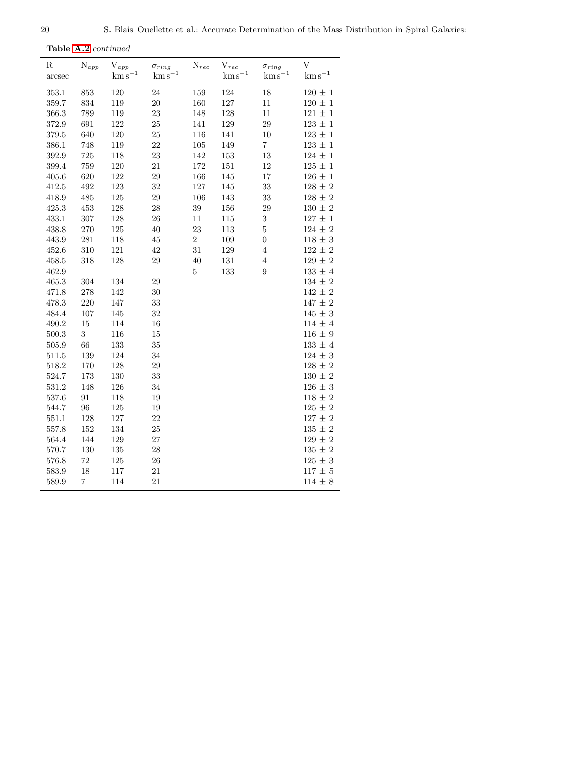Table [A.2](#page-18-0) continued

| $_{\rm R}$<br>arcsec | $N_{app}$        | $\mathbf{V}_{app}$<br>$\rm km\,s^{-1}$ | $\sigma_{ring}$<br>$\mathrm{km\,s}^{-1}$ | ${\rm N}_{rec}$ | $V_{rec}$<br>$\mathrm{km\,s}^{-1}$ | $\sigma_{ring}$<br>$\mathrm{km\,s}^{-1}$ | V<br>$\mathrm{km\,s}^{-1}$ |
|----------------------|------------------|----------------------------------------|------------------------------------------|-----------------|------------------------------------|------------------------------------------|----------------------------|
| 353.1                | 853              | 120                                    | 24                                       | 159             | 124                                | $18\,$                                   | $120\,\pm\,1$              |
| 359.7                | 834              | 119                                    | $20\,$                                   | 160             | $127\,$                            | $11\,$                                   | $120\,\pm\,1$              |
| 366.3                | 789              | 119                                    | 23                                       | 148             | 128                                | 11                                       | $121 \pm 1$                |
| 372.9                | 691              | $122\,$                                | 25                                       | 141             | 129                                | 29                                       | $123\,\pm\,1$              |
| 379.5                | 640              | 120                                    | 25                                       | 116             | 141                                | 10                                       | $123 \pm 1$                |
| 386.1                | 748              | 119                                    | 22                                       | 105             | 149                                | $\,7$                                    | $123\,\pm\,1$              |
| 392.9                | 725              | 118                                    | 23                                       | 142             | 153                                | 13                                       | $124\,\pm\,1$              |
| 399.4                | 759              | 120                                    | 21                                       | 172             | 151                                | 12                                       | $125\,\pm\,1$              |
| 405.6                | 620              | 122                                    | $\,29$                                   | 166             | 145                                | 17                                       | $126\,\pm\,1$              |
| 412.5                | 492              | $123\,$                                | 32                                       | $127\,$         | 145                                | 33                                       | $128\,\pm\,2$              |
| 418.9                | 485              | $125\,$                                | $\,29$                                   | 106             | 143                                | $33\,$                                   | $128\,\pm\,2$              |
| 425.3                | 453              | 128                                    | $28\,$                                   | 39              | 156                                | 29                                       | $130\,\pm\,2$              |
| 433.1                | 307              | 128                                    | $26\,$                                   | 11              | 115                                | $\sqrt{3}$                               | $127\,\pm\,1$              |
| 438.8                | $270\,$          | $125\,$                                | 40                                       | 23              | 113                                | $\bf 5$                                  | $124\,\pm\,2$              |
| 443.9                | $281\,$          | 118                                    | 45                                       | $\overline{2}$  | 109                                | $\boldsymbol{0}$                         | $118 \pm 3$                |
| 452.6                | 310              | 121                                    | 42                                       | 31              | 129                                | $\,4\,$                                  | $122\,\pm\,2$              |
| 458.5                | 318              | 128                                    | 29                                       | 40              | 131                                | $\,4\,$                                  | $129\,\pm\,2$              |
| 462.9                |                  |                                        |                                          | $\bf 5$         | 133                                | $\boldsymbol{9}$                         | $133\,\pm\,4$              |
| 465.3                | 304              | 134                                    | $\,29$                                   |                 |                                    |                                          | $134\,\pm\,2$              |
| 471.8                | 278              | 142                                    | $30\,$                                   |                 |                                    |                                          | $142\,\pm\,2$              |
| 478.3                | $220\,$          | 147                                    | $33\,$                                   |                 |                                    |                                          | $147\,\pm\,2$              |
| 484.4                | $107\,$          | 145                                    | $32\,$                                   |                 |                                    |                                          | $145\,\pm\,3$              |
| 490.2                | 15               | 114                                    | 16                                       |                 |                                    |                                          | $114\,\pm\,4$              |
| 500.3                | $\boldsymbol{3}$ | 116                                    | 15                                       |                 |                                    |                                          | $116 \pm 9$                |
| 505.9                | 66               | 133                                    | 35                                       |                 |                                    |                                          | $133\,\pm\,4$              |
| 511.5                | 139              | 124                                    | 34                                       |                 |                                    |                                          | $124\,\pm\,3$              |
| 518.2                | 170              | 128                                    | $\,29$                                   |                 |                                    |                                          | $128\,\pm\,2$              |
| 524.7                | 173              | $130\,$                                | 33                                       |                 |                                    |                                          | $130\,\pm\,2$              |
| 531.2                | 148              | 126                                    | $34\,$                                   |                 |                                    |                                          | $126 \pm 3$                |
| 537.6                | 91               | 118                                    | 19                                       |                 |                                    |                                          | $118\,\pm\,2$              |
| 544.7                | 96               | 125                                    | 19                                       |                 |                                    |                                          | $125 \pm 2$                |
| 551.1                | 128              | $127\,$                                | $22\,$                                   |                 |                                    |                                          | $127\,\pm\,2$              |
| 557.8                | 152              | 134                                    | $25\,$                                   |                 |                                    |                                          | $135\,\pm\,2$              |
| 564.4                | 144              | 129                                    | 27                                       |                 |                                    |                                          | $129\,\pm\,2$              |
| 570.7                | 130              | $135\,$                                | $28\,$                                   |                 |                                    |                                          | $135\,\pm\,2$              |
| 576.8                | 72               | $125\,$                                | $\,26$                                   |                 |                                    |                                          | $125\,\pm\,3$              |
| 583.9                | 18               | 117                                    | 21                                       |                 |                                    |                                          | $117 \pm 5$                |
| 589.9                | $\overline{7}$   | 114                                    | 21                                       |                 |                                    |                                          | $114 \pm 8$                |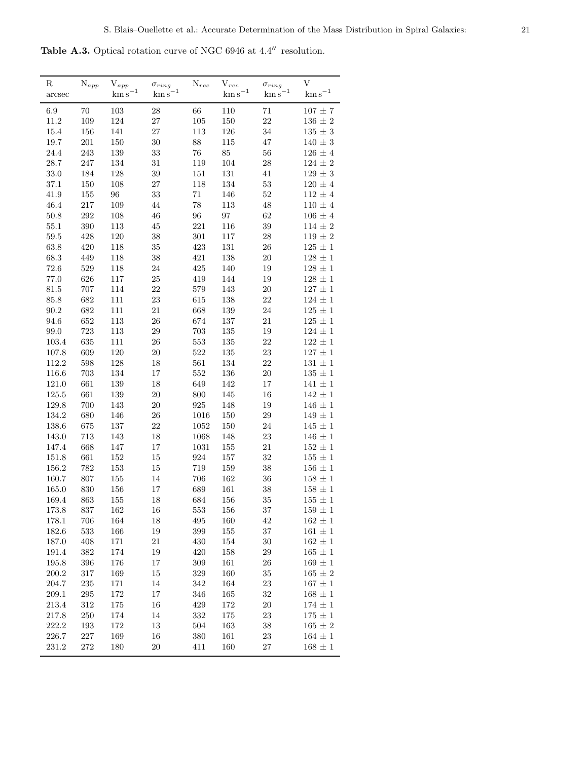<span id="page-20-0"></span>Table A.3. Optical rotation curve of NGC 6946 at 4.4′′ resolution.

| 6.9<br>70<br>103<br>28<br>66<br>110<br>71<br>$107 \pm 7$<br>109<br>$105\,$<br>22<br>11.2<br>124<br>$27\,$<br>150<br>$136\,\pm\,2$<br>27<br>113<br>34<br>$135\,\pm\,3$<br>15.4<br>156<br>141<br>$126\,$<br>$140\,\pm\,3$<br>19.7<br>$201\,$<br>150<br>$30\,$<br>88<br>115<br>47<br>$76\,$<br>24.4<br>243<br>139<br>$33\,$<br>$85\,$<br>56<br>$126 \pm 4$<br>$28.7\,$<br>247<br>134<br>$31\,$<br>119<br>$\sqrt{28}$<br>$124\,\pm\,2$<br>104<br>$129\,\pm\,3$<br>33.0<br>184<br>$128\,$<br>$39\,$<br>$151\,$<br>131<br>41<br>$150\,$<br>$27\,$<br>$53\,$<br>$120\,\pm\,4$<br>37.1<br>$108\,$<br>118<br>134<br>$52\,$<br>$112\,\pm\,4$<br>41.9<br>$155\,$<br>96<br>$33\,$<br>71<br>146<br>$217\,$<br>109<br>78<br>$110\,\pm\,4$<br>46.4<br>44<br>113<br>48<br>292<br>$96\,$<br>$50.8\,$<br>$108\,$<br>$\sqrt{46}$<br>$\rm 97$<br>62<br>$106 \pm 4$<br>390<br>$221\,$<br>$114\,\pm\,2$<br>55.1<br>113<br>45<br>116<br>$39\,$<br>$59.5\,$<br>428<br>120<br>$38\,$<br>$301\,$<br>$\sqrt{28}$<br>$119\,\pm\,2$<br>117<br>35<br>423<br>63.8<br>420<br>118<br>131<br>26<br>$125 \pm 1$<br>$38\,$<br>$128\,\pm\,1$<br>68.3<br>449<br>421<br>138<br>20<br>118<br>529<br>425<br>$128\,\pm\,1$<br>72.6<br>118<br>$24\,$<br>140<br>19<br>626<br>25<br>77.0<br>$117\,$<br>419<br>144<br>19<br>$128 \pm 1$<br>707<br>22<br>579<br>143<br>$20\,$<br>$127\,\pm\,1$<br>81.5<br>114<br>682<br>111<br>$23\,$<br>615<br>138<br>22<br>$124\,\pm\,1$<br>85.8<br>$21\,$<br>139<br>$24\,$<br>$125\,\pm\,1$<br>90.2<br>682<br>111<br>668<br>652<br>$26\,$<br>674<br>$125\,\pm\,1$<br>94.6<br>113<br>137<br>21<br>723<br>703<br>$124\,\pm\,1$<br>99.0<br>113<br>$29\,$<br>135<br>19<br>$635\,$<br>553<br>103.4<br>$111\,$<br>$26\,$<br>135<br>22<br>$122\,\pm\,1$<br>609<br>522<br>120<br>$20\,$<br>135<br>23<br>$127 \pm 1$<br>107.8<br>$598\,$<br>561<br>112.2<br>128<br>$18\,$<br>134<br>22<br>$131\,\pm\,1$<br>703<br>134<br>$135\,\pm\,1$<br>116.6<br>17<br>552<br>136<br>20<br>$141\,\pm\,1$<br>661<br>139<br>18<br>649<br>142<br>121.0<br>17<br>661<br>125.5<br>139<br>$20\,$<br>$800\,$<br>145<br>16<br>$142 \pm 1$<br>700<br>925<br>129.8<br>143<br>$20\,$<br>148<br>19<br>$146 \pm 1$<br>134.2<br>680<br>146<br>$26\,$<br>1016<br>150<br>$\,29$<br>$149\,\pm\,1$<br>675<br>$22\,$<br>$145\,\pm\,1$<br>138.6<br>$137\,$<br>1052<br>150<br>$\,24$<br>$18\,$<br>$146\,\pm\,1$<br>143.0<br>713<br>143<br>1068<br>148<br>23<br>21<br>$152\,\pm\,1$<br>147.4<br>668<br>147<br>17<br>1031<br>155<br>661<br>$32\,$<br>$155\,\pm\,1$<br>151.8<br>152<br>15<br>924<br>157<br>156.2<br>782<br>153<br>$15\,$<br>719<br>159<br>$38\,$<br>$156\,\pm\,1$<br>160.7<br>807<br>$155\,$<br>14<br>706<br>162<br>$36\,$<br>$158\,\pm\,1$<br>165.0<br>830<br>156<br>17<br>689<br>161<br>38<br>$158\,\pm\,1$<br>863<br>35<br>$155\,\pm\,1$<br>169.4<br>155<br>18<br>684<br>156<br>553<br>$159\,\pm\,1$<br>173.8<br>837<br>162<br>16<br>156<br>37<br>706<br>164<br>495<br>160<br>42<br>$162\,\pm\,1$<br>178.1<br>18<br>533<br>$399\,$<br>$155\,$<br>$37\,$<br>182.6<br>166<br>19<br>$161 \pm 1$<br>408<br>21<br>430<br>$30\,$<br>$162 \pm 1$<br>187.0<br>171<br>154<br>191.4<br>$382\,$<br>174<br>19<br>420<br>158<br>$\,29$<br>$165\,\pm\,1$<br>$396\,$<br>$309\,$<br>$169\,\pm\,1$<br>195.8<br>176<br>17<br>161<br>26<br>$317\,$<br>$329\,$<br>$35\,$<br>200.2<br>169<br>15<br>160<br>$165 \pm 2$<br>204.7<br>$235\,$<br>23<br>171<br>14<br>342<br>164<br>$167 \pm 1$<br>$\,295$<br>172<br>165<br>$168\,\pm\,1$<br>209.1<br>17<br>346<br>32<br>213.4<br>$312\,$<br>175<br>$16\,$<br>429<br>$172\,$<br>$20\,$<br>$174\,\pm\,1$<br>217.8<br>$250\,$<br>174<br>14<br>332<br>$175\,$<br>23<br>$175\,\pm\,1$<br>$193\,$<br>$13\,$<br>$504\,$<br>38<br>$165\,\pm\,2$<br>222.2<br>172<br>163 | $_{\rm R}$<br>arcsec | $N_{app}$ | $\mathbf{V}_{app}$<br>$\mathrm{km\,s}^{-1}$ | $\sigma_{ring}$<br>$km s^{-1}$ | $\mathrm{N}_{rec}$ | $\mathbf{V}_{rec}$<br>$\rm km\,s^{-1}$ | $\sigma_{ring}$<br>$\mathrm{km\,s}^{-1}$ | V<br>$\mathrm{km\,s}^{-1}$ |
|----------------------------------------------------------------------------------------------------------------------------------------------------------------------------------------------------------------------------------------------------------------------------------------------------------------------------------------------------------------------------------------------------------------------------------------------------------------------------------------------------------------------------------------------------------------------------------------------------------------------------------------------------------------------------------------------------------------------------------------------------------------------------------------------------------------------------------------------------------------------------------------------------------------------------------------------------------------------------------------------------------------------------------------------------------------------------------------------------------------------------------------------------------------------------------------------------------------------------------------------------------------------------------------------------------------------------------------------------------------------------------------------------------------------------------------------------------------------------------------------------------------------------------------------------------------------------------------------------------------------------------------------------------------------------------------------------------------------------------------------------------------------------------------------------------------------------------------------------------------------------------------------------------------------------------------------------------------------------------------------------------------------------------------------------------------------------------------------------------------------------------------------------------------------------------------------------------------------------------------------------------------------------------------------------------------------------------------------------------------------------------------------------------------------------------------------------------------------------------------------------------------------------------------------------------------------------------------------------------------------------------------------------------------------------------------------------------------------------------------------------------------------------------------------------------------------------------------------------------------------------------------------------------------------------------------------------------------------------------------------------------------------------------------------------------------------------------------------------------------------------------------------------------------------------------------------------------------------------------------------------------------------------------------------------------------------------------------------------------------------------------------------------------------------------------------------------------------------------------------------------------------------------------------------------------------------------------------------------------------------------------------------------------------------------------------------------------------------------------------------|----------------------|-----------|---------------------------------------------|--------------------------------|--------------------|----------------------------------------|------------------------------------------|----------------------------|
|                                                                                                                                                                                                                                                                                                                                                                                                                                                                                                                                                                                                                                                                                                                                                                                                                                                                                                                                                                                                                                                                                                                                                                                                                                                                                                                                                                                                                                                                                                                                                                                                                                                                                                                                                                                                                                                                                                                                                                                                                                                                                                                                                                                                                                                                                                                                                                                                                                                                                                                                                                                                                                                                                                                                                                                                                                                                                                                                                                                                                                                                                                                                                                                                                                                                                                                                                                                                                                                                                                                                                                                                                                                                                                                                              |                      |           |                                             |                                |                    |                                        |                                          |                            |
|                                                                                                                                                                                                                                                                                                                                                                                                                                                                                                                                                                                                                                                                                                                                                                                                                                                                                                                                                                                                                                                                                                                                                                                                                                                                                                                                                                                                                                                                                                                                                                                                                                                                                                                                                                                                                                                                                                                                                                                                                                                                                                                                                                                                                                                                                                                                                                                                                                                                                                                                                                                                                                                                                                                                                                                                                                                                                                                                                                                                                                                                                                                                                                                                                                                                                                                                                                                                                                                                                                                                                                                                                                                                                                                                              |                      |           |                                             |                                |                    |                                        |                                          |                            |
|                                                                                                                                                                                                                                                                                                                                                                                                                                                                                                                                                                                                                                                                                                                                                                                                                                                                                                                                                                                                                                                                                                                                                                                                                                                                                                                                                                                                                                                                                                                                                                                                                                                                                                                                                                                                                                                                                                                                                                                                                                                                                                                                                                                                                                                                                                                                                                                                                                                                                                                                                                                                                                                                                                                                                                                                                                                                                                                                                                                                                                                                                                                                                                                                                                                                                                                                                                                                                                                                                                                                                                                                                                                                                                                                              |                      |           |                                             |                                |                    |                                        |                                          |                            |
|                                                                                                                                                                                                                                                                                                                                                                                                                                                                                                                                                                                                                                                                                                                                                                                                                                                                                                                                                                                                                                                                                                                                                                                                                                                                                                                                                                                                                                                                                                                                                                                                                                                                                                                                                                                                                                                                                                                                                                                                                                                                                                                                                                                                                                                                                                                                                                                                                                                                                                                                                                                                                                                                                                                                                                                                                                                                                                                                                                                                                                                                                                                                                                                                                                                                                                                                                                                                                                                                                                                                                                                                                                                                                                                                              |                      |           |                                             |                                |                    |                                        |                                          |                            |
|                                                                                                                                                                                                                                                                                                                                                                                                                                                                                                                                                                                                                                                                                                                                                                                                                                                                                                                                                                                                                                                                                                                                                                                                                                                                                                                                                                                                                                                                                                                                                                                                                                                                                                                                                                                                                                                                                                                                                                                                                                                                                                                                                                                                                                                                                                                                                                                                                                                                                                                                                                                                                                                                                                                                                                                                                                                                                                                                                                                                                                                                                                                                                                                                                                                                                                                                                                                                                                                                                                                                                                                                                                                                                                                                              |                      |           |                                             |                                |                    |                                        |                                          |                            |
|                                                                                                                                                                                                                                                                                                                                                                                                                                                                                                                                                                                                                                                                                                                                                                                                                                                                                                                                                                                                                                                                                                                                                                                                                                                                                                                                                                                                                                                                                                                                                                                                                                                                                                                                                                                                                                                                                                                                                                                                                                                                                                                                                                                                                                                                                                                                                                                                                                                                                                                                                                                                                                                                                                                                                                                                                                                                                                                                                                                                                                                                                                                                                                                                                                                                                                                                                                                                                                                                                                                                                                                                                                                                                                                                              |                      |           |                                             |                                |                    |                                        |                                          |                            |
|                                                                                                                                                                                                                                                                                                                                                                                                                                                                                                                                                                                                                                                                                                                                                                                                                                                                                                                                                                                                                                                                                                                                                                                                                                                                                                                                                                                                                                                                                                                                                                                                                                                                                                                                                                                                                                                                                                                                                                                                                                                                                                                                                                                                                                                                                                                                                                                                                                                                                                                                                                                                                                                                                                                                                                                                                                                                                                                                                                                                                                                                                                                                                                                                                                                                                                                                                                                                                                                                                                                                                                                                                                                                                                                                              |                      |           |                                             |                                |                    |                                        |                                          |                            |
|                                                                                                                                                                                                                                                                                                                                                                                                                                                                                                                                                                                                                                                                                                                                                                                                                                                                                                                                                                                                                                                                                                                                                                                                                                                                                                                                                                                                                                                                                                                                                                                                                                                                                                                                                                                                                                                                                                                                                                                                                                                                                                                                                                                                                                                                                                                                                                                                                                                                                                                                                                                                                                                                                                                                                                                                                                                                                                                                                                                                                                                                                                                                                                                                                                                                                                                                                                                                                                                                                                                                                                                                                                                                                                                                              |                      |           |                                             |                                |                    |                                        |                                          |                            |
|                                                                                                                                                                                                                                                                                                                                                                                                                                                                                                                                                                                                                                                                                                                                                                                                                                                                                                                                                                                                                                                                                                                                                                                                                                                                                                                                                                                                                                                                                                                                                                                                                                                                                                                                                                                                                                                                                                                                                                                                                                                                                                                                                                                                                                                                                                                                                                                                                                                                                                                                                                                                                                                                                                                                                                                                                                                                                                                                                                                                                                                                                                                                                                                                                                                                                                                                                                                                                                                                                                                                                                                                                                                                                                                                              |                      |           |                                             |                                |                    |                                        |                                          |                            |
|                                                                                                                                                                                                                                                                                                                                                                                                                                                                                                                                                                                                                                                                                                                                                                                                                                                                                                                                                                                                                                                                                                                                                                                                                                                                                                                                                                                                                                                                                                                                                                                                                                                                                                                                                                                                                                                                                                                                                                                                                                                                                                                                                                                                                                                                                                                                                                                                                                                                                                                                                                                                                                                                                                                                                                                                                                                                                                                                                                                                                                                                                                                                                                                                                                                                                                                                                                                                                                                                                                                                                                                                                                                                                                                                              |                      |           |                                             |                                |                    |                                        |                                          |                            |
|                                                                                                                                                                                                                                                                                                                                                                                                                                                                                                                                                                                                                                                                                                                                                                                                                                                                                                                                                                                                                                                                                                                                                                                                                                                                                                                                                                                                                                                                                                                                                                                                                                                                                                                                                                                                                                                                                                                                                                                                                                                                                                                                                                                                                                                                                                                                                                                                                                                                                                                                                                                                                                                                                                                                                                                                                                                                                                                                                                                                                                                                                                                                                                                                                                                                                                                                                                                                                                                                                                                                                                                                                                                                                                                                              |                      |           |                                             |                                |                    |                                        |                                          |                            |
|                                                                                                                                                                                                                                                                                                                                                                                                                                                                                                                                                                                                                                                                                                                                                                                                                                                                                                                                                                                                                                                                                                                                                                                                                                                                                                                                                                                                                                                                                                                                                                                                                                                                                                                                                                                                                                                                                                                                                                                                                                                                                                                                                                                                                                                                                                                                                                                                                                                                                                                                                                                                                                                                                                                                                                                                                                                                                                                                                                                                                                                                                                                                                                                                                                                                                                                                                                                                                                                                                                                                                                                                                                                                                                                                              |                      |           |                                             |                                |                    |                                        |                                          |                            |
|                                                                                                                                                                                                                                                                                                                                                                                                                                                                                                                                                                                                                                                                                                                                                                                                                                                                                                                                                                                                                                                                                                                                                                                                                                                                                                                                                                                                                                                                                                                                                                                                                                                                                                                                                                                                                                                                                                                                                                                                                                                                                                                                                                                                                                                                                                                                                                                                                                                                                                                                                                                                                                                                                                                                                                                                                                                                                                                                                                                                                                                                                                                                                                                                                                                                                                                                                                                                                                                                                                                                                                                                                                                                                                                                              |                      |           |                                             |                                |                    |                                        |                                          |                            |
|                                                                                                                                                                                                                                                                                                                                                                                                                                                                                                                                                                                                                                                                                                                                                                                                                                                                                                                                                                                                                                                                                                                                                                                                                                                                                                                                                                                                                                                                                                                                                                                                                                                                                                                                                                                                                                                                                                                                                                                                                                                                                                                                                                                                                                                                                                                                                                                                                                                                                                                                                                                                                                                                                                                                                                                                                                                                                                                                                                                                                                                                                                                                                                                                                                                                                                                                                                                                                                                                                                                                                                                                                                                                                                                                              |                      |           |                                             |                                |                    |                                        |                                          |                            |
|                                                                                                                                                                                                                                                                                                                                                                                                                                                                                                                                                                                                                                                                                                                                                                                                                                                                                                                                                                                                                                                                                                                                                                                                                                                                                                                                                                                                                                                                                                                                                                                                                                                                                                                                                                                                                                                                                                                                                                                                                                                                                                                                                                                                                                                                                                                                                                                                                                                                                                                                                                                                                                                                                                                                                                                                                                                                                                                                                                                                                                                                                                                                                                                                                                                                                                                                                                                                                                                                                                                                                                                                                                                                                                                                              |                      |           |                                             |                                |                    |                                        |                                          |                            |
|                                                                                                                                                                                                                                                                                                                                                                                                                                                                                                                                                                                                                                                                                                                                                                                                                                                                                                                                                                                                                                                                                                                                                                                                                                                                                                                                                                                                                                                                                                                                                                                                                                                                                                                                                                                                                                                                                                                                                                                                                                                                                                                                                                                                                                                                                                                                                                                                                                                                                                                                                                                                                                                                                                                                                                                                                                                                                                                                                                                                                                                                                                                                                                                                                                                                                                                                                                                                                                                                                                                                                                                                                                                                                                                                              |                      |           |                                             |                                |                    |                                        |                                          |                            |
|                                                                                                                                                                                                                                                                                                                                                                                                                                                                                                                                                                                                                                                                                                                                                                                                                                                                                                                                                                                                                                                                                                                                                                                                                                                                                                                                                                                                                                                                                                                                                                                                                                                                                                                                                                                                                                                                                                                                                                                                                                                                                                                                                                                                                                                                                                                                                                                                                                                                                                                                                                                                                                                                                                                                                                                                                                                                                                                                                                                                                                                                                                                                                                                                                                                                                                                                                                                                                                                                                                                                                                                                                                                                                                                                              |                      |           |                                             |                                |                    |                                        |                                          |                            |
|                                                                                                                                                                                                                                                                                                                                                                                                                                                                                                                                                                                                                                                                                                                                                                                                                                                                                                                                                                                                                                                                                                                                                                                                                                                                                                                                                                                                                                                                                                                                                                                                                                                                                                                                                                                                                                                                                                                                                                                                                                                                                                                                                                                                                                                                                                                                                                                                                                                                                                                                                                                                                                                                                                                                                                                                                                                                                                                                                                                                                                                                                                                                                                                                                                                                                                                                                                                                                                                                                                                                                                                                                                                                                                                                              |                      |           |                                             |                                |                    |                                        |                                          |                            |
|                                                                                                                                                                                                                                                                                                                                                                                                                                                                                                                                                                                                                                                                                                                                                                                                                                                                                                                                                                                                                                                                                                                                                                                                                                                                                                                                                                                                                                                                                                                                                                                                                                                                                                                                                                                                                                                                                                                                                                                                                                                                                                                                                                                                                                                                                                                                                                                                                                                                                                                                                                                                                                                                                                                                                                                                                                                                                                                                                                                                                                                                                                                                                                                                                                                                                                                                                                                                                                                                                                                                                                                                                                                                                                                                              |                      |           |                                             |                                |                    |                                        |                                          |                            |
|                                                                                                                                                                                                                                                                                                                                                                                                                                                                                                                                                                                                                                                                                                                                                                                                                                                                                                                                                                                                                                                                                                                                                                                                                                                                                                                                                                                                                                                                                                                                                                                                                                                                                                                                                                                                                                                                                                                                                                                                                                                                                                                                                                                                                                                                                                                                                                                                                                                                                                                                                                                                                                                                                                                                                                                                                                                                                                                                                                                                                                                                                                                                                                                                                                                                                                                                                                                                                                                                                                                                                                                                                                                                                                                                              |                      |           |                                             |                                |                    |                                        |                                          |                            |
|                                                                                                                                                                                                                                                                                                                                                                                                                                                                                                                                                                                                                                                                                                                                                                                                                                                                                                                                                                                                                                                                                                                                                                                                                                                                                                                                                                                                                                                                                                                                                                                                                                                                                                                                                                                                                                                                                                                                                                                                                                                                                                                                                                                                                                                                                                                                                                                                                                                                                                                                                                                                                                                                                                                                                                                                                                                                                                                                                                                                                                                                                                                                                                                                                                                                                                                                                                                                                                                                                                                                                                                                                                                                                                                                              |                      |           |                                             |                                |                    |                                        |                                          |                            |
|                                                                                                                                                                                                                                                                                                                                                                                                                                                                                                                                                                                                                                                                                                                                                                                                                                                                                                                                                                                                                                                                                                                                                                                                                                                                                                                                                                                                                                                                                                                                                                                                                                                                                                                                                                                                                                                                                                                                                                                                                                                                                                                                                                                                                                                                                                                                                                                                                                                                                                                                                                                                                                                                                                                                                                                                                                                                                                                                                                                                                                                                                                                                                                                                                                                                                                                                                                                                                                                                                                                                                                                                                                                                                                                                              |                      |           |                                             |                                |                    |                                        |                                          |                            |
|                                                                                                                                                                                                                                                                                                                                                                                                                                                                                                                                                                                                                                                                                                                                                                                                                                                                                                                                                                                                                                                                                                                                                                                                                                                                                                                                                                                                                                                                                                                                                                                                                                                                                                                                                                                                                                                                                                                                                                                                                                                                                                                                                                                                                                                                                                                                                                                                                                                                                                                                                                                                                                                                                                                                                                                                                                                                                                                                                                                                                                                                                                                                                                                                                                                                                                                                                                                                                                                                                                                                                                                                                                                                                                                                              |                      |           |                                             |                                |                    |                                        |                                          |                            |
|                                                                                                                                                                                                                                                                                                                                                                                                                                                                                                                                                                                                                                                                                                                                                                                                                                                                                                                                                                                                                                                                                                                                                                                                                                                                                                                                                                                                                                                                                                                                                                                                                                                                                                                                                                                                                                                                                                                                                                                                                                                                                                                                                                                                                                                                                                                                                                                                                                                                                                                                                                                                                                                                                                                                                                                                                                                                                                                                                                                                                                                                                                                                                                                                                                                                                                                                                                                                                                                                                                                                                                                                                                                                                                                                              |                      |           |                                             |                                |                    |                                        |                                          |                            |
|                                                                                                                                                                                                                                                                                                                                                                                                                                                                                                                                                                                                                                                                                                                                                                                                                                                                                                                                                                                                                                                                                                                                                                                                                                                                                                                                                                                                                                                                                                                                                                                                                                                                                                                                                                                                                                                                                                                                                                                                                                                                                                                                                                                                                                                                                                                                                                                                                                                                                                                                                                                                                                                                                                                                                                                                                                                                                                                                                                                                                                                                                                                                                                                                                                                                                                                                                                                                                                                                                                                                                                                                                                                                                                                                              |                      |           |                                             |                                |                    |                                        |                                          |                            |
|                                                                                                                                                                                                                                                                                                                                                                                                                                                                                                                                                                                                                                                                                                                                                                                                                                                                                                                                                                                                                                                                                                                                                                                                                                                                                                                                                                                                                                                                                                                                                                                                                                                                                                                                                                                                                                                                                                                                                                                                                                                                                                                                                                                                                                                                                                                                                                                                                                                                                                                                                                                                                                                                                                                                                                                                                                                                                                                                                                                                                                                                                                                                                                                                                                                                                                                                                                                                                                                                                                                                                                                                                                                                                                                                              |                      |           |                                             |                                |                    |                                        |                                          |                            |
|                                                                                                                                                                                                                                                                                                                                                                                                                                                                                                                                                                                                                                                                                                                                                                                                                                                                                                                                                                                                                                                                                                                                                                                                                                                                                                                                                                                                                                                                                                                                                                                                                                                                                                                                                                                                                                                                                                                                                                                                                                                                                                                                                                                                                                                                                                                                                                                                                                                                                                                                                                                                                                                                                                                                                                                                                                                                                                                                                                                                                                                                                                                                                                                                                                                                                                                                                                                                                                                                                                                                                                                                                                                                                                                                              |                      |           |                                             |                                |                    |                                        |                                          |                            |
|                                                                                                                                                                                                                                                                                                                                                                                                                                                                                                                                                                                                                                                                                                                                                                                                                                                                                                                                                                                                                                                                                                                                                                                                                                                                                                                                                                                                                                                                                                                                                                                                                                                                                                                                                                                                                                                                                                                                                                                                                                                                                                                                                                                                                                                                                                                                                                                                                                                                                                                                                                                                                                                                                                                                                                                                                                                                                                                                                                                                                                                                                                                                                                                                                                                                                                                                                                                                                                                                                                                                                                                                                                                                                                                                              |                      |           |                                             |                                |                    |                                        |                                          |                            |
|                                                                                                                                                                                                                                                                                                                                                                                                                                                                                                                                                                                                                                                                                                                                                                                                                                                                                                                                                                                                                                                                                                                                                                                                                                                                                                                                                                                                                                                                                                                                                                                                                                                                                                                                                                                                                                                                                                                                                                                                                                                                                                                                                                                                                                                                                                                                                                                                                                                                                                                                                                                                                                                                                                                                                                                                                                                                                                                                                                                                                                                                                                                                                                                                                                                                                                                                                                                                                                                                                                                                                                                                                                                                                                                                              |                      |           |                                             |                                |                    |                                        |                                          |                            |
|                                                                                                                                                                                                                                                                                                                                                                                                                                                                                                                                                                                                                                                                                                                                                                                                                                                                                                                                                                                                                                                                                                                                                                                                                                                                                                                                                                                                                                                                                                                                                                                                                                                                                                                                                                                                                                                                                                                                                                                                                                                                                                                                                                                                                                                                                                                                                                                                                                                                                                                                                                                                                                                                                                                                                                                                                                                                                                                                                                                                                                                                                                                                                                                                                                                                                                                                                                                                                                                                                                                                                                                                                                                                                                                                              |                      |           |                                             |                                |                    |                                        |                                          |                            |
|                                                                                                                                                                                                                                                                                                                                                                                                                                                                                                                                                                                                                                                                                                                                                                                                                                                                                                                                                                                                                                                                                                                                                                                                                                                                                                                                                                                                                                                                                                                                                                                                                                                                                                                                                                                                                                                                                                                                                                                                                                                                                                                                                                                                                                                                                                                                                                                                                                                                                                                                                                                                                                                                                                                                                                                                                                                                                                                                                                                                                                                                                                                                                                                                                                                                                                                                                                                                                                                                                                                                                                                                                                                                                                                                              |                      |           |                                             |                                |                    |                                        |                                          |                            |
|                                                                                                                                                                                                                                                                                                                                                                                                                                                                                                                                                                                                                                                                                                                                                                                                                                                                                                                                                                                                                                                                                                                                                                                                                                                                                                                                                                                                                                                                                                                                                                                                                                                                                                                                                                                                                                                                                                                                                                                                                                                                                                                                                                                                                                                                                                                                                                                                                                                                                                                                                                                                                                                                                                                                                                                                                                                                                                                                                                                                                                                                                                                                                                                                                                                                                                                                                                                                                                                                                                                                                                                                                                                                                                                                              |                      |           |                                             |                                |                    |                                        |                                          |                            |
|                                                                                                                                                                                                                                                                                                                                                                                                                                                                                                                                                                                                                                                                                                                                                                                                                                                                                                                                                                                                                                                                                                                                                                                                                                                                                                                                                                                                                                                                                                                                                                                                                                                                                                                                                                                                                                                                                                                                                                                                                                                                                                                                                                                                                                                                                                                                                                                                                                                                                                                                                                                                                                                                                                                                                                                                                                                                                                                                                                                                                                                                                                                                                                                                                                                                                                                                                                                                                                                                                                                                                                                                                                                                                                                                              |                      |           |                                             |                                |                    |                                        |                                          |                            |
|                                                                                                                                                                                                                                                                                                                                                                                                                                                                                                                                                                                                                                                                                                                                                                                                                                                                                                                                                                                                                                                                                                                                                                                                                                                                                                                                                                                                                                                                                                                                                                                                                                                                                                                                                                                                                                                                                                                                                                                                                                                                                                                                                                                                                                                                                                                                                                                                                                                                                                                                                                                                                                                                                                                                                                                                                                                                                                                                                                                                                                                                                                                                                                                                                                                                                                                                                                                                                                                                                                                                                                                                                                                                                                                                              |                      |           |                                             |                                |                    |                                        |                                          |                            |
|                                                                                                                                                                                                                                                                                                                                                                                                                                                                                                                                                                                                                                                                                                                                                                                                                                                                                                                                                                                                                                                                                                                                                                                                                                                                                                                                                                                                                                                                                                                                                                                                                                                                                                                                                                                                                                                                                                                                                                                                                                                                                                                                                                                                                                                                                                                                                                                                                                                                                                                                                                                                                                                                                                                                                                                                                                                                                                                                                                                                                                                                                                                                                                                                                                                                                                                                                                                                                                                                                                                                                                                                                                                                                                                                              |                      |           |                                             |                                |                    |                                        |                                          |                            |
|                                                                                                                                                                                                                                                                                                                                                                                                                                                                                                                                                                                                                                                                                                                                                                                                                                                                                                                                                                                                                                                                                                                                                                                                                                                                                                                                                                                                                                                                                                                                                                                                                                                                                                                                                                                                                                                                                                                                                                                                                                                                                                                                                                                                                                                                                                                                                                                                                                                                                                                                                                                                                                                                                                                                                                                                                                                                                                                                                                                                                                                                                                                                                                                                                                                                                                                                                                                                                                                                                                                                                                                                                                                                                                                                              |                      |           |                                             |                                |                    |                                        |                                          |                            |
|                                                                                                                                                                                                                                                                                                                                                                                                                                                                                                                                                                                                                                                                                                                                                                                                                                                                                                                                                                                                                                                                                                                                                                                                                                                                                                                                                                                                                                                                                                                                                                                                                                                                                                                                                                                                                                                                                                                                                                                                                                                                                                                                                                                                                                                                                                                                                                                                                                                                                                                                                                                                                                                                                                                                                                                                                                                                                                                                                                                                                                                                                                                                                                                                                                                                                                                                                                                                                                                                                                                                                                                                                                                                                                                                              |                      |           |                                             |                                |                    |                                        |                                          |                            |
|                                                                                                                                                                                                                                                                                                                                                                                                                                                                                                                                                                                                                                                                                                                                                                                                                                                                                                                                                                                                                                                                                                                                                                                                                                                                                                                                                                                                                                                                                                                                                                                                                                                                                                                                                                                                                                                                                                                                                                                                                                                                                                                                                                                                                                                                                                                                                                                                                                                                                                                                                                                                                                                                                                                                                                                                                                                                                                                                                                                                                                                                                                                                                                                                                                                                                                                                                                                                                                                                                                                                                                                                                                                                                                                                              |                      |           |                                             |                                |                    |                                        |                                          |                            |
|                                                                                                                                                                                                                                                                                                                                                                                                                                                                                                                                                                                                                                                                                                                                                                                                                                                                                                                                                                                                                                                                                                                                                                                                                                                                                                                                                                                                                                                                                                                                                                                                                                                                                                                                                                                                                                                                                                                                                                                                                                                                                                                                                                                                                                                                                                                                                                                                                                                                                                                                                                                                                                                                                                                                                                                                                                                                                                                                                                                                                                                                                                                                                                                                                                                                                                                                                                                                                                                                                                                                                                                                                                                                                                                                              |                      |           |                                             |                                |                    |                                        |                                          |                            |
|                                                                                                                                                                                                                                                                                                                                                                                                                                                                                                                                                                                                                                                                                                                                                                                                                                                                                                                                                                                                                                                                                                                                                                                                                                                                                                                                                                                                                                                                                                                                                                                                                                                                                                                                                                                                                                                                                                                                                                                                                                                                                                                                                                                                                                                                                                                                                                                                                                                                                                                                                                                                                                                                                                                                                                                                                                                                                                                                                                                                                                                                                                                                                                                                                                                                                                                                                                                                                                                                                                                                                                                                                                                                                                                                              |                      |           |                                             |                                |                    |                                        |                                          |                            |
|                                                                                                                                                                                                                                                                                                                                                                                                                                                                                                                                                                                                                                                                                                                                                                                                                                                                                                                                                                                                                                                                                                                                                                                                                                                                                                                                                                                                                                                                                                                                                                                                                                                                                                                                                                                                                                                                                                                                                                                                                                                                                                                                                                                                                                                                                                                                                                                                                                                                                                                                                                                                                                                                                                                                                                                                                                                                                                                                                                                                                                                                                                                                                                                                                                                                                                                                                                                                                                                                                                                                                                                                                                                                                                                                              |                      |           |                                             |                                |                    |                                        |                                          |                            |
|                                                                                                                                                                                                                                                                                                                                                                                                                                                                                                                                                                                                                                                                                                                                                                                                                                                                                                                                                                                                                                                                                                                                                                                                                                                                                                                                                                                                                                                                                                                                                                                                                                                                                                                                                                                                                                                                                                                                                                                                                                                                                                                                                                                                                                                                                                                                                                                                                                                                                                                                                                                                                                                                                                                                                                                                                                                                                                                                                                                                                                                                                                                                                                                                                                                                                                                                                                                                                                                                                                                                                                                                                                                                                                                                              |                      |           |                                             |                                |                    |                                        |                                          |                            |
|                                                                                                                                                                                                                                                                                                                                                                                                                                                                                                                                                                                                                                                                                                                                                                                                                                                                                                                                                                                                                                                                                                                                                                                                                                                                                                                                                                                                                                                                                                                                                                                                                                                                                                                                                                                                                                                                                                                                                                                                                                                                                                                                                                                                                                                                                                                                                                                                                                                                                                                                                                                                                                                                                                                                                                                                                                                                                                                                                                                                                                                                                                                                                                                                                                                                                                                                                                                                                                                                                                                                                                                                                                                                                                                                              |                      |           |                                             |                                |                    |                                        |                                          |                            |
|                                                                                                                                                                                                                                                                                                                                                                                                                                                                                                                                                                                                                                                                                                                                                                                                                                                                                                                                                                                                                                                                                                                                                                                                                                                                                                                                                                                                                                                                                                                                                                                                                                                                                                                                                                                                                                                                                                                                                                                                                                                                                                                                                                                                                                                                                                                                                                                                                                                                                                                                                                                                                                                                                                                                                                                                                                                                                                                                                                                                                                                                                                                                                                                                                                                                                                                                                                                                                                                                                                                                                                                                                                                                                                                                              |                      |           |                                             |                                |                    |                                        |                                          |                            |
|                                                                                                                                                                                                                                                                                                                                                                                                                                                                                                                                                                                                                                                                                                                                                                                                                                                                                                                                                                                                                                                                                                                                                                                                                                                                                                                                                                                                                                                                                                                                                                                                                                                                                                                                                                                                                                                                                                                                                                                                                                                                                                                                                                                                                                                                                                                                                                                                                                                                                                                                                                                                                                                                                                                                                                                                                                                                                                                                                                                                                                                                                                                                                                                                                                                                                                                                                                                                                                                                                                                                                                                                                                                                                                                                              |                      |           |                                             |                                |                    |                                        |                                          |                            |
|                                                                                                                                                                                                                                                                                                                                                                                                                                                                                                                                                                                                                                                                                                                                                                                                                                                                                                                                                                                                                                                                                                                                                                                                                                                                                                                                                                                                                                                                                                                                                                                                                                                                                                                                                                                                                                                                                                                                                                                                                                                                                                                                                                                                                                                                                                                                                                                                                                                                                                                                                                                                                                                                                                                                                                                                                                                                                                                                                                                                                                                                                                                                                                                                                                                                                                                                                                                                                                                                                                                                                                                                                                                                                                                                              |                      |           |                                             |                                |                    |                                        |                                          |                            |
|                                                                                                                                                                                                                                                                                                                                                                                                                                                                                                                                                                                                                                                                                                                                                                                                                                                                                                                                                                                                                                                                                                                                                                                                                                                                                                                                                                                                                                                                                                                                                                                                                                                                                                                                                                                                                                                                                                                                                                                                                                                                                                                                                                                                                                                                                                                                                                                                                                                                                                                                                                                                                                                                                                                                                                                                                                                                                                                                                                                                                                                                                                                                                                                                                                                                                                                                                                                                                                                                                                                                                                                                                                                                                                                                              |                      |           |                                             |                                |                    |                                        |                                          |                            |
|                                                                                                                                                                                                                                                                                                                                                                                                                                                                                                                                                                                                                                                                                                                                                                                                                                                                                                                                                                                                                                                                                                                                                                                                                                                                                                                                                                                                                                                                                                                                                                                                                                                                                                                                                                                                                                                                                                                                                                                                                                                                                                                                                                                                                                                                                                                                                                                                                                                                                                                                                                                                                                                                                                                                                                                                                                                                                                                                                                                                                                                                                                                                                                                                                                                                                                                                                                                                                                                                                                                                                                                                                                                                                                                                              |                      |           |                                             |                                |                    |                                        |                                          |                            |
|                                                                                                                                                                                                                                                                                                                                                                                                                                                                                                                                                                                                                                                                                                                                                                                                                                                                                                                                                                                                                                                                                                                                                                                                                                                                                                                                                                                                                                                                                                                                                                                                                                                                                                                                                                                                                                                                                                                                                                                                                                                                                                                                                                                                                                                                                                                                                                                                                                                                                                                                                                                                                                                                                                                                                                                                                                                                                                                                                                                                                                                                                                                                                                                                                                                                                                                                                                                                                                                                                                                                                                                                                                                                                                                                              |                      |           |                                             |                                |                    |                                        |                                          |                            |
|                                                                                                                                                                                                                                                                                                                                                                                                                                                                                                                                                                                                                                                                                                                                                                                                                                                                                                                                                                                                                                                                                                                                                                                                                                                                                                                                                                                                                                                                                                                                                                                                                                                                                                                                                                                                                                                                                                                                                                                                                                                                                                                                                                                                                                                                                                                                                                                                                                                                                                                                                                                                                                                                                                                                                                                                                                                                                                                                                                                                                                                                                                                                                                                                                                                                                                                                                                                                                                                                                                                                                                                                                                                                                                                                              |                      |           |                                             |                                |                    |                                        |                                          |                            |
|                                                                                                                                                                                                                                                                                                                                                                                                                                                                                                                                                                                                                                                                                                                                                                                                                                                                                                                                                                                                                                                                                                                                                                                                                                                                                                                                                                                                                                                                                                                                                                                                                                                                                                                                                                                                                                                                                                                                                                                                                                                                                                                                                                                                                                                                                                                                                                                                                                                                                                                                                                                                                                                                                                                                                                                                                                                                                                                                                                                                                                                                                                                                                                                                                                                                                                                                                                                                                                                                                                                                                                                                                                                                                                                                              | 226.7                | $227\,$   | 169                                         | 16                             | 380                | 161                                    | 23                                       | $164 \pm 1$                |
| 231.2<br>${\bf 272}$<br>180<br>$20\,$<br>411<br>160<br>27<br>$168\,\pm\,1$                                                                                                                                                                                                                                                                                                                                                                                                                                                                                                                                                                                                                                                                                                                                                                                                                                                                                                                                                                                                                                                                                                                                                                                                                                                                                                                                                                                                                                                                                                                                                                                                                                                                                                                                                                                                                                                                                                                                                                                                                                                                                                                                                                                                                                                                                                                                                                                                                                                                                                                                                                                                                                                                                                                                                                                                                                                                                                                                                                                                                                                                                                                                                                                                                                                                                                                                                                                                                                                                                                                                                                                                                                                                   |                      |           |                                             |                                |                    |                                        |                                          |                            |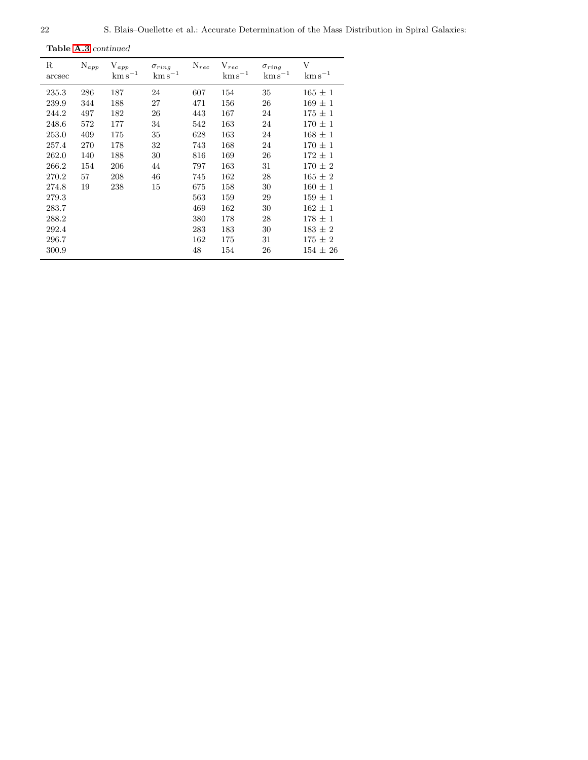Table [A.3](#page-20-0) continued

| R<br>arcsec | $N_{app}$ | $V_{app}$<br>$\mathrm{km\,s}^{-1}$ | $\sigma_{ring}$<br>$\mathrm{km\,s}^{-1}$ | $N_{rec}$ | $V_{rec}$<br>$\mathrm{km\,s}^{-1}$ | $\sigma_{ring}$<br>$\mathrm{km\,s}^{-1}$ | V<br>$\mathrm{km\,s}^{-1}$ |
|-------------|-----------|------------------------------------|------------------------------------------|-----------|------------------------------------|------------------------------------------|----------------------------|
| 235.3       | 286       | 187                                | 24                                       | 607       | 154                                | 35                                       | $165 \pm 1$                |
| 239.9       | 344       | 188                                | 27                                       | 471       | 156                                | 26                                       | $169 \pm 1$                |
| 244.2       | 497       | 182                                | 26                                       | 443       | 167                                | 24                                       | $175 \pm 1$                |
| 248.6       | 572       | 177                                | 34                                       | 542       | 163                                | 24                                       | $170 \pm 1$                |
| 253.0       | 409       | 175                                | 35                                       | 628       | 163                                | 24                                       | $168 \pm 1$                |
| 257.4       | 270       | 178                                | 32                                       | 743       | 168                                | 24                                       | $170 \pm 1$                |
| 262.0       | 140       | 188                                | 30                                       | 816       | 169                                | 26                                       | $172 \pm 1$                |
| 266.2       | 154       | 206                                | 44                                       | 797       | 163                                | 31                                       | $170 \pm 2$                |
| 270.2       | 57        | 208                                | 46                                       | 745       | 162                                | 28                                       | $165 \pm 2$                |
| 274.8       | 19        | 238                                | 15                                       | 675       | 158                                | 30                                       | $160 \pm 1$                |
| 279.3       |           |                                    |                                          | 563       | 159                                | 29                                       | $159 \pm 1$                |
| 283.7       |           |                                    |                                          | 469       | 162                                | 30                                       | $162 \pm 1$                |
| 288.2       |           |                                    |                                          | 380       | 178                                | 28                                       | $178 \pm 1$                |
| 292.4       |           |                                    |                                          | 283       | 183                                | 30                                       | $183 \pm 2$                |
| 296.7       |           |                                    |                                          | 162       | 175                                | 31                                       | $175 \pm 2$                |
| 300.9       |           |                                    |                                          | 48        | 154                                | 26                                       | $154 \pm 26$               |
|             |           |                                    |                                          |           |                                    |                                          |                            |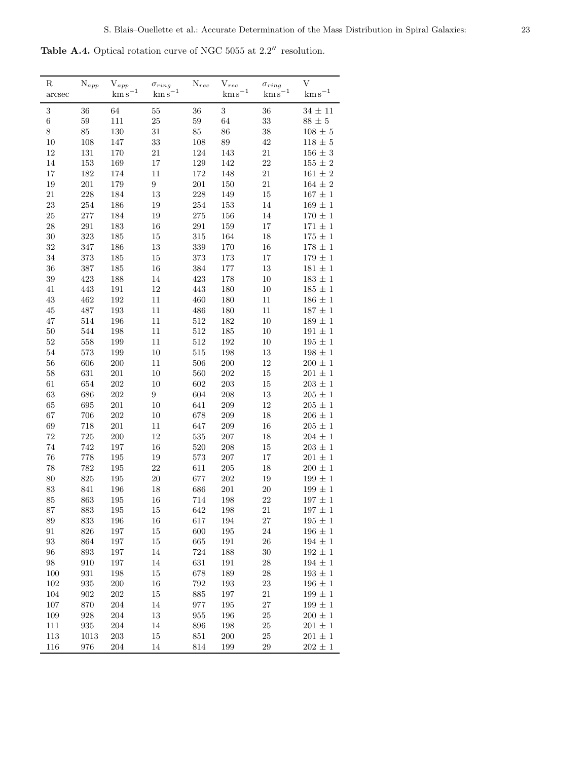<span id="page-22-0"></span>Table A.4. Optical rotation curve of NGC 5055 at  $2.2^{\prime\prime}$  resolution.

| R           | $\mathrm{N}_{app}$ | ${\rm V}_{app}$       | $\sigma_{ring}$  | $N_{rec}$ | $V_{rec}$             | $\sigma_{ring}$       | V                     |
|-------------|--------------------|-----------------------|------------------|-----------|-----------------------|-----------------------|-----------------------|
| arcsec      |                    | $\mathrm{km\,s}^{-1}$ | $\rm km\,s^{-1}$ |           | $\mathrm{km\,s}^{-1}$ | $\mathrm{km\,s}^{-1}$ | $\mathrm{km\,s}^{-1}$ |
| 3           | 36                 | 64                    | 55               | 36        | $\sqrt{3}$            | 36                    | $34\,\pm\,11$         |
| $\,6$       | 59                 | $111\,$               | 25               | 59        | 64                    | 33                    | $88\,\pm\,5$          |
| 8           | 85                 | $130\,$               | 31               | $85\,$    | 86                    | $38\,$                | $108\,\pm\,5$         |
| $10\,$      | $108\,$            | 147                   | $33\,$           | $108\,$   | 89                    | 42                    | $118\,\pm\,5$         |
| 12          | 131                | $170\,$               | 21               | $124\,$   | 143                   | 21                    | $156\,\pm\,3$         |
| 14          | 153                | 169                   | 17               | $129\,$   | 142                   | $22\,$                | $155\,\pm\,2$         |
| 17          | 182                | 174                   | 11               | 172       | 148                   | 21                    | $161\,\pm\,2$         |
| 19          | $201\,$            | 179                   | $\boldsymbol{9}$ | $201\,$   | 150                   | 21                    | $164\,\pm\,2$         |
| 21          | 228                | 184                   | 13               | $228\,$   | 149                   | $15\,$                | $167\,\pm\,1$         |
| 23          | 254                | 186                   | 19               | $254\,$   | 153                   | 14                    | $169\,\pm\,1$         |
| $25\,$      | 277                | 184                   | 19               | 275       | 156                   | 14                    | $170\,\pm\,1$         |
| $\sqrt{28}$ | 291                | 183                   | 16               | $\!291$   | 159                   | 17                    | $171\,\pm\,1$         |
| $30\,$      | 323                | 185                   | $15\,$           | 315       | 164                   | $18\,$                | $175\,\pm\,1$         |
| 32          | 347                | 186                   | 13               | $339\,$   | 170                   | $16\,$                | $178 \pm 1$           |
| 34          | $373\,$            | 185                   | 15               | $373\,$   | 173                   | 17                    | $179\,\pm\,1$         |
| 36          | 387                | 185                   | 16               | $384\,$   | $177\,$               | 13                    | $181\,\pm\,1$         |
| $39\,$      | 423                | 188                   | 14               | 423       | 178                   | $10\,$                | $183\,\pm\,1$         |
| 41          | 443                | 191                   | 12               | 443       | 180                   | $10\,$                | $185\,\pm\,1$         |
| 43          | 462                | $192\,$               | 11               | 460       | 180                   | $11\,$                | $186\,\pm\,1$         |
| 45          | 487                | $193\,$               | 11               | 486       | 180                   | $11\,$                | $187\,\pm\,1$         |
| 47          | 514                | 196                   | 11               | $512\,$   | 182                   | 10                    | $189\,\pm\,1$         |
| $50\,$      | 544                | 198                   | 11               | 512       | 185                   | 10                    | $191\,\pm\,1$         |
| $52\,$      | 558                | 199                   | 11               | $512\,$   | $192\,$               | 10                    | $195\,\pm\,1$         |
| $54\,$      | $573\,$            | 199                   | 10               | 515       | 198                   | 13                    | $198\,\pm\,1$         |
| $56\,$      | 606                | $200\,$               | 11               | 506       | $200\,$               | $12\,$                | $200 \pm 1$           |
| $58\,$      | 631                | 201                   | 10               | $560\,$   | 202                   | 15                    | $201\,\pm\,1$         |
| 61          | 654                | $202\,$               | 10               | $602\,$   | $203\,$               | 15                    | $203\,\pm\,1$         |
| $63\,$      | 686                | $202\,$               | $\boldsymbol{9}$ | 604       | $208\,$               | $13\,$                | $205\,\pm\,1$         |
| 65          | 695                | $201\,$               | 10               | 641       | 209                   | 12                    | $205\,\pm\,1$         |
| 67          | 706                | 202                   | 10               | 678       | $209\,$               | $18\,$                | $206\,\pm\,1$         |
| 69          | 718                | $201\,$               | 11               | 647       | $209\,$               | $16\,$                | $205\,\pm\,1$         |
| $72\,$      | $725\,$            | $200\,$               | 12               | $535\,$   | $207\,$               | 18                    | $204\,\pm\,1$         |
| 74          | 742                | $197\,$               | 16               | 520       | $208\,$               | 15                    | $203\,\pm\,1$         |
| $76\,$      | 778                | $195\,$               | 19               | $573\,$   | $207\,$               | 17                    | $201\,\pm\,1$         |
| 78          | 782                | $195\,$               | $22\,$           | 611       | $205\,$               | 18                    | $200\,\pm\,1$         |
| $80\,$      | $825\,$            | $195\,$               | $20\,$           | 677       | $202\,$               | $19\,$                | $199\,\pm\,1$         |
| $83\,$      | 841                | 196                   | 18               | 686       | $201\,$               | $20\,$                | $199 \pm 1$           |
| 85          | 863                | 195                   | 16               | 714       | 198                   | 22                    | $197\,\pm\,1$         |
| 87          | 883                | $195\,$               | 15               | 642       | 198                   | $21\,$                | $197\,\pm\,1$         |
| $89\,$      | 833                | $196\,$               | 16               | 617       | 194                   | $27\,$                | $195\,\pm\,1$         |
| 91          | 826                | 197                   | 15               | 600       | 195                   | $24\,$                | $196 \pm 1$           |
| 93          | 864                | 197                   | 15               | 665       | $191\,$               | $26\,$                | $194\,\pm\,1$         |
| 96          | 893                | $197\,$               | 14               | 724       | 188                   | $30\,$                | $192 \pm 1$           |
| 98          | 910                | 197                   | 14               | $631\,$   | 191                   | 28                    | $194\,\pm\,1$         |
| 100         | $\boldsymbol{931}$ | 198                   | 15               | 678       | 189                   | 28                    | $193 \pm 1$           |
| 102         | $\boldsymbol{935}$ | <b>200</b>            | 16               | $792\,$   | 193                   | 23                    | $196 \pm 1$           |
| 104         | $\boldsymbol{902}$ | 202                   | $15\,$           | 885       | 197                   | 21                    | $199\,\pm\,1$         |
| 107         | 870                | 204                   | 14               | 977       | 195                   | $27\,$                | $199\,\pm\,1$         |
| 109         | 928                | 204                   | 13               | $955\,$   | 196                   | 25                    | $200\,\pm\,1$         |
| 111         | $\boldsymbol{935}$ | $204\,$               | 14               | 896       | 198                   | $25\,$                | $201\,\pm\,1$         |
| 113         | 1013               | $203\,$               | 15               | $851\,$   | $200\,$               | $25\,$                | $201\,\pm\,1$         |
| 116         | 976                | 204                   | 14               | $814\,$   | 199                   | 29                    | $202\,\pm\,1$         |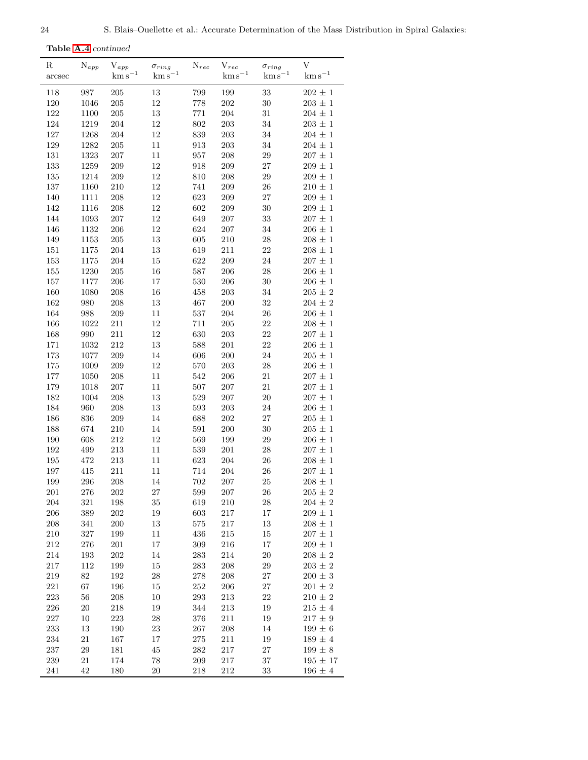Table [A.4](#page-22-0) continued

| R       | $\mathrm{N}_{app}$ | ${\rm V}_{app}$  | $\sigma_{ring}$  | $N_{rec}$ | ${\rm V}_{rec}$       | $\sigma_{ring}$  | V                |
|---------|--------------------|------------------|------------------|-----------|-----------------------|------------------|------------------|
| arcsec  |                    | $\rm km\,s^{-1}$ | $\rm km\,s^{-1}$ |           | $\mathrm{km\,s}^{-1}$ | $\rm km\,s^{-1}$ | $\rm km\,s^{-1}$ |
| 118     | 987                | $205\,$          | $13\,$           | 799       | 199                   | $33\,$           | $202 \pm 1$      |
| $120\,$ | 1046               | $205\,$          | $12\,$           | 778       | $202\,$               | $30\,$           | $203\,\pm\,1$    |
| 122     | 1100               | $205\,$          | $13\,$           | 771       | 204                   | $31\,$           | $204 \pm 1$      |
| 124     | 1219               | 204              | 12               | 802       | $203\,$               | 34               | $203\,\pm\,1$    |
| 127     | 1268               | 204              | $12\,$           | 839       | $203\,$               | 34               | $204\,\pm\,1$    |
| 129     | 1282               | 205              | $11\,$           | 913       | $203\,$               | 34               | $204\,\pm\,1$    |
| $131\,$ | 1323               | 207              | 11               | 957       | $208\,$               | $\,29$           | $207\,\pm\,1$    |
| 133     | 1259               | $209\,$          | $12\,$           | 918       | $209\,$               | $27\,$           | $209\,\pm\,1$    |
| 135     | 1214               | 209              | 12               | 810       | $208\,$               | $\,29$           | $209 \pm 1$      |
| $137\,$ | 1160               | 210              | 12               | 741       | $209\,$               | $26\,$           | $210 \pm 1$      |
| 140     | $1111\,$           | $208\,$          | $12\,$           | 623       | $209\,$               | $27\,$           | $209\,\pm\,1$    |
| 142     | 1116               | $\,208$          | $12\,$           | 602       | 209                   | $30\,$           | $209\,\pm\,1$    |
| 144     | 1093               | $207\,$          | $12\,$           | 649       | 207                   | $33\,$           | $207\,\pm\,1$    |
| 146     | 1132               | 206              | $12\,$           | 624       | $207\,$               | 34               | $206\,\pm\,1$    |
| 149     | 1153               | $205\,$          | $13\,$           | 605       | 210                   | ${\bf 28}$       | $208 \pm 1$      |
| 151     | 1175               | 204              | $13\,$           | 619       | $211\,$               | 22               | $208\,\pm\,1$    |
| 153     | 1175               | 204              | 15               | 622       | $209\,$               | 24               | $207\,\pm\,1$    |
| $155\,$ | 1230               | 205              | $16\,$           | 587       | $206\,$               | $28\,$           | $206\,\pm\,1$    |
| $157\,$ | 1177               | 206              | 17               | 530       | 206                   | $30\,$           | $206\,\pm\,1$    |
| 160     | 1080               | $208\,$          | $16\,$           | 458       | $203\,$               | $34\,$           | $205\,\pm\,2$    |
| 162     | 980                | 208              | $13\,$           | 467       | 200                   | $32\,$           | $204 \pm 2$      |
| 164     | 988                | 209              | 11               | 537       | 204                   | $26\,$           | $206\,\pm\,1$    |
| 166     | 1022               | $211\,$          | $12\,$           | 711       | $205\,$               | 22               | $208\,\pm\,1$    |
| 168     | 990                | $211\,$          | $12\,$           | 630       | $203\,$               | $22\,$           | $207\,\pm\,1$    |
| 171     | 1032               | $212\,$          | $13\,$           | 588       | $201\,$               | $22\,$           | $206\,\pm\,1$    |
| 173     | 1077               | $\,209$          | 14               | 606       | 200                   | 24               | $205 \pm 1$      |
| $175\,$ | $1009\,$           | 209              | 12               | 570       | $203\,$               | $28\,$           | $206 \pm 1$      |
| $177\,$ | 1050               | $208\,$          | 11               | 542       | $206\,$               | $21\,$           | $207\,\pm\,1$    |
| 179     | 1018               | 207              | $11\,$           | 507       | $207\,$               | $21\,$           | $207\,\pm\,1$    |
| 182     | 1004               | 208              | 13               | 529       | 207                   | $20\,$           | $207\,\pm\,1$    |
| 184     | 960                | $208\,$          | 13               | 593       | $203\,$               | $24\,$           | $206\,\pm\,1$    |
| 186     | 836                | 209              | 14               | 688       | 202                   | $27\,$           | $205 \pm 1$      |
| 188     | 674                | 210              | 14               | 591       | $200\,$               | $30\,$           | $205 \pm 1$      |
| $190\,$ | 608                | $212\,$          | $12\,$           | 569       | 199                   | $\,29$           | $206\,\pm\,1$    |
| 192     | 499                | $213\,$          | $11\,$           | 539       | $201\,$               | $28\,$           | $207\,\pm\,1$    |
| 195     | 472                | $213\,$          | 11               | 623       | 204                   | $26\,$           | $208\,\pm\,1$    |
| 197     | 415                | 211              | $11\,$           | 714       | 204                   | $26\,$           | $207 \pm 1$      |
| 199     | 296                | 208              | 14               | 702       | 207                   | 25               | $208 \pm 1$      |
| 201     | 276                | 202              | 27               | 599       | 207                   | 26               | $205 \pm 2$      |
| 204     | 321                | $198\,$          | $35\,$           | 619       | 210                   | $28\,$           | $204\,\pm\,2$    |
| 206     | 389                | $202\,$          | 19               | 603       | 217                   | $17\,$           | $209 \pm 1$      |
| 208     | 341                | 200              | 13               | 575       | $217\,$               | 13               | $208\,\pm\,1$    |
| $210\,$ | 327                | $199\,$          | $11\,$           | 436       | $215\,$               | 15               | $207 \pm 1$      |
| 212     | 276                | $201\,$          | 17               | 309       | 216                   | 17               | $209 \pm 1$      |
| 214     | 193                | 202              | 14               | 283       | 214                   | $20\,$           | $208 \pm 2$      |
| 217     | $112\,$            | 199              | 15               | 283       | 208                   | $\,29$           | $203 \pm 2$      |
| $219\,$ | 82                 | $192\,$          | 28               | $278\,$   | $208\,$               | $27\,$           | $200 \pm 3$      |
| 221     | 67                 | 196              | 15               | 252       | 206                   | $27\,$           | $201 \pm 2$      |
| 223     | $56\,$             | $208\,$          | 10               | 293       | 213                   | $22\,$           | $210 \pm 2$      |
| 226     | $20\,$             | 218              | 19               | 344       | $213\,$               | 19               | $215 \pm 4$      |
| $227\,$ | $10\,$             | $223\,$          | $28\,$           | 376       | 211                   | 19               | $217 \pm 9$      |
| 233     | $13\,$             | 190              | $23\,$           | 267       | 208                   | 14               | $199\,\pm\,6$    |
| 234     | 21                 | $167\,$          | 17               | $275\,$   | 211                   | 19               | $189\,\pm\,4$    |
| 237     | 29                 | 181              | $\rm 45$         | 282       | $217\,$               | $\sqrt{27}$      | $199\,\pm\,8$    |
| 239     | 21                 | 174              | 78               | 209       | $217\,$               | 37               | $195 \pm 17$     |
| 241     | 42                 | 180              | 20               | 218       | 212                   | 33               | $196\,\pm\,4$    |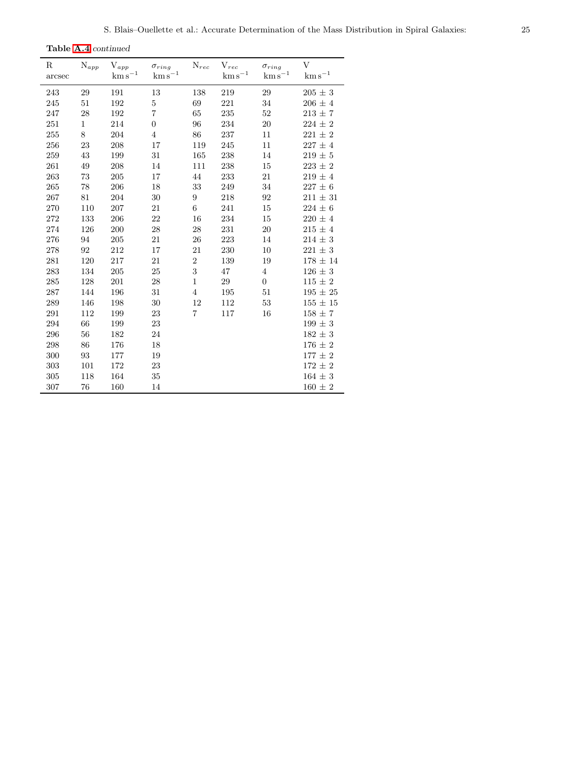$\overline{a}$ 

Table [A.4](#page-22-0) continued

| R<br>arcsec | $N_{app}$    | $V_{app}$<br>$\rm km\,s^{-1}$ | $\sigma_{ring}$<br>$\mathrm{km\,s}^{-1}$ | $\mathrm{N}_{rec}$ | $V_{rec}$<br>$\mathrm{km\,s}^{-1}$ | $\sigma_{ring}$<br>$\rm km\,s^{-1}$ | V<br>$\rm km\,s^{-1}$ |
|-------------|--------------|-------------------------------|------------------------------------------|--------------------|------------------------------------|-------------------------------------|-----------------------|
| 243         | 29           | 191                           | 13                                       | 138                | 219                                | 29                                  | $205 \pm 3$           |
| 245         | 51           | 192                           | 5                                        | 69                 | 221                                | 34                                  | $206 \pm 4$           |
| 247         | 28           | 192                           | $\overline{7}$                           | 65                 | $\bf 235$                          | 52                                  | $213\,\pm\,7$         |
| 251         | $\mathbf{1}$ | 214                           | $\boldsymbol{0}$                         | 96                 | 234                                | $20\,$                              | $224 \pm 2$           |
| 255         | 8            | 204                           | $\overline{4}$                           | 86                 | 237                                | 11                                  | $221 \pm 2$           |
| 256         | 23           | 208                           | 17                                       | 119                | 245                                | 11                                  | $227\,\pm\,4$         |
| 259         | 43           | 199                           | 31                                       | 165                | 238                                | 14                                  | $219 \pm 5$           |
| 261         | 49           | 208                           | 14                                       | 111                | 238                                | 15                                  | $223 \pm 2$           |
| 263         | $73\,$       | 205                           | 17                                       | 44                 | 233                                | 21                                  | $219 \pm 4$           |
| 265         | 78           | 206                           | 18                                       | 33                 | 249                                | 34                                  | $227 \pm 6$           |
| 267         | 81           | 204                           | 30                                       | 9                  | 218                                | 92                                  | $211 \pm 31$          |
| 270         | 110          | 207                           | 21                                       | 6                  | 241                                | 15                                  | $224 \pm 6$           |
| 272         | 133          | 206                           | 22                                       | 16                 | 234                                | 15                                  | $220 \pm 4$           |
| 274         | 126          | 200                           | 28                                       | 28                 | 231                                | 20                                  | $215 \pm 4$           |
| 276         | 94           | 205                           | 21                                       | 26                 | 223                                | 14                                  | $214 \pm 3$           |
| 278         | 92           | 212                           | 17                                       | 21                 | 230                                | 10                                  | $221 \pm 3$           |
| 281         | 120          | 217                           | 21                                       | $\overline{2}$     | 139                                | 19                                  | $178 \pm 14$          |
| 283         | 134          | 205                           | 25                                       | 3                  | 47                                 | $\overline{4}$                      | $126 \pm 3$           |
| 285         | 128          | 201                           | $28\,$                                   | $\mathbf{1}$       | 29                                 | $\overline{0}$                      | $115 \pm 2$           |
| 287         | 144          | 196                           | 31                                       | $\overline{4}$     | 195                                | 51                                  | $195 \pm 25$          |
| 289         | 146          | 198                           | 30                                       | 12                 | 112                                | 53                                  | $155 \pm 15$          |
| 291         | 112          | 199                           | 23                                       | 7                  | 117                                | 16                                  | $158 \pm 7$           |
| 294         | 66           | 199                           | 23                                       |                    |                                    |                                     | $199 \pm 3$           |
| 296         | 56           | 182                           | 24                                       |                    |                                    |                                     | $182 \pm 3$           |
| 298         | 86           | 176                           | 18                                       |                    |                                    |                                     | $176 \pm 2$           |
| 300         | 93           | 177                           | 19                                       |                    |                                    |                                     | $177 \pm 2$           |
| 303         | 101          | 172                           | 23                                       |                    |                                    |                                     | $172 \pm 2$           |
| 305         | 118          | 164                           | $35\,$                                   |                    |                                    |                                     | $164 \pm 3$           |
| 307         | 76           | 160                           | 14                                       |                    |                                    |                                     | $160 \pm 2$           |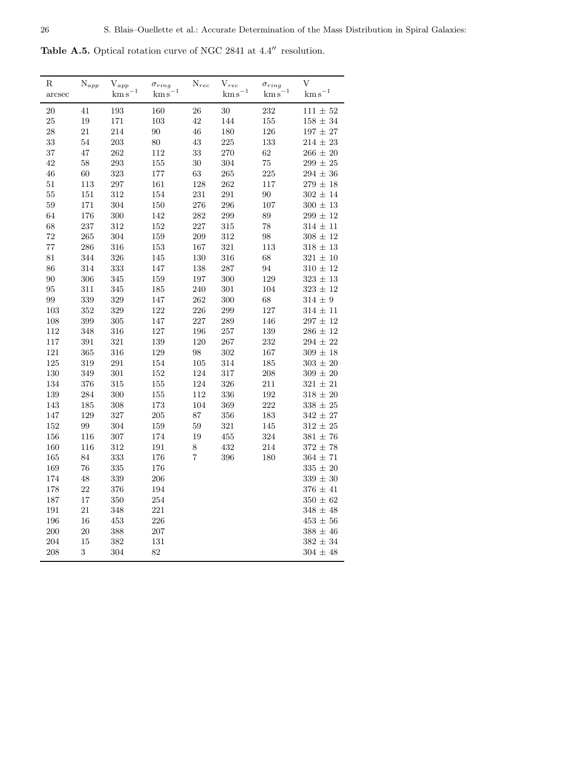<span id="page-25-0"></span>Table A.5. Optical rotation curve of NGC 2841 at 4.4′′ resolution.

| R<br>arcsec | $N_{app}$  | $\mathbf{V}_{app}$<br>$\rm km\,s^{-1}$ | $\sigma_{ring}$<br>$km s^{-1}$ | $N_{rec}$  | ${\rm V}_{rec}$<br>$km s^{-1}$ | $\sigma_{ring}$<br>$km s^{-1}$ | V<br>$\mathrm{km\,s}^{-1}$ |
|-------------|------------|----------------------------------------|--------------------------------|------------|--------------------------------|--------------------------------|----------------------------|
| 20          | 41         | 193                                    | 160                            | ${\bf 26}$ | 30                             | 232                            | $111 \pm 52$               |
| 25          | 19         | 171                                    | 103                            | 42         | 144                            | 155                            | $158\,\pm\,34$             |
| 28          | $21\,$     | 214                                    | 90                             | 46         | 180                            | 126                            | $197\,\pm\,27$             |
| 33          | 54         | 203                                    | 80                             | $\!43\!$   | 225                            | 133                            | $214\,\pm\,23$             |
| 37          | 47         | 262                                    | 112                            | 33         | 270                            | 62                             | $266 \pm 20$               |
| 42          | $58\,$     | 293                                    | $155\,$                        | $30\,$     | 304                            | 75                             | $299\,\pm\,25$             |
| 46          | 60         | 323                                    | 177                            | 63         | 265                            | 225                            | $294\,\pm\,36$             |
| 51          | $113\,$    | 297                                    | 161                            | 128        | 262                            | 117                            | $279\,\pm\,18$             |
| 55          | $151\,$    | 312                                    | 154                            | 231        | $\,291$                        | $90\,$                         | $302 \pm 14$               |
| 59          | $171\,$    | 304                                    | $150\,$                        | 276        | 296                            | 107                            | $300\,\pm\,13$             |
| 64          | 176        | 300                                    | 142                            | 282        | 299                            | 89                             | $299 \pm 12$               |
| 68          | 237        | 312                                    | $152\,$                        | $227\,$    | 315                            | 78                             | $314\,\pm\,11$             |
| 72          | 265        | 304                                    | 159                            | 209        | 312                            | 98                             | $308 \pm 12$               |
| 77          | $\,286$    | 316                                    | $153\,$                        | 167        | $321\,$                        | 113                            | $318\,\pm\,13$             |
| 81          | 344        | $326\,$                                | $145\,$                        | $130\,$    | 316                            | 68                             | $321\,\pm\,10$             |
| 86          | 314        | 333                                    | 147                            | 138        | 287                            | 94                             | $310\,\pm\,12$             |
| 90          | 306        | 345                                    | 159                            | 197        | 300                            | 129                            | $323\,\pm\,13$             |
| 95          | $311\,$    | 345                                    | $185\,$                        | 240        | $301\,$                        | 104                            | $323\,\pm\,12$             |
| 99          | $339\,$    | 329                                    | 147                            | 262        | 300                            | $68\,$                         | $314 \pm 9$                |
| $103\,$     | 352        | 329                                    | 122                            | 226        | 299                            | 127                            | $314\,\pm\,11$             |
| 108         | $399\,$    | $305\,$                                | 147                            | $227\,$    | 289                            | 146                            | $297 \pm 12$               |
| 112         | 348        | 316                                    | 127                            | 196        | 257                            | 139                            | $286\,\pm\,12$             |
| $117\,$     | $391\,$    | 321                                    | 139                            | 120        | 267                            | 232                            | $294 \pm 22$               |
| 121         | $365\,$    | 316                                    | $129\,$                        | $98\,$     | $302\,$                        | 167                            | $309 \pm 18$               |
| 125         | 319        | 291                                    | 154                            | $105\,$    | 314                            | 185                            | $303 \pm 20$               |
| $130\,$     | 349        | 301                                    | 152                            | 124        | 317                            | $\,208$                        | $309\,\pm\,20$             |
| 134         | $376\,$    | 315                                    | $155\,$                        | 124        | 326                            | $211\,$                        | $321 \pm 21$               |
| $139\,$     | 284        | 300                                    | $155\,$                        | 112        | 336                            | $192\,$                        | $318\,\pm\,20$             |
| 143         | 185        | 308                                    | 173                            | 104        | 369                            | 222                            | $338\,\pm\,25$             |
| $147\,$     | 129        | 327                                    | 205                            | 87         | 356                            | 183                            | $342\,\pm\,27$             |
| 152         | 99         | 304                                    | 159                            | 59         | 321                            | 145                            | $312 \pm 25$               |
| 156         | 116        | 307                                    | 174                            | 19         | 455                            | 324                            | $381\,\pm\,76$             |
| 160         | 116        | $312\,$                                | 191                            | $8\,$      | 432                            | 214                            | $372 \pm 78$               |
| 165         | 84         | 333                                    | 176                            | 7          | 396                            | 180                            | $364 \pm 71$               |
| 169         | 76         | 335                                    | 176                            |            |                                |                                | $335\,\pm\,20$             |
| 174         | 48         | 339                                    | 206                            |            |                                |                                | $339\,\pm\,30$             |
| $178\,$     | 22         | 376                                    | 194                            |            |                                |                                | $376\,\pm\,41$             |
| 187         | 17         | 350                                    | 254                            |            |                                |                                | $350\,\pm\,62$             |
| 191         | $21\,$     | 348                                    | 221                            |            |                                |                                | $348\,\pm\,48$             |
| 196         | 16         | 453                                    | 226                            |            |                                |                                | $453\,\pm\,56$             |
| 200         | 20         | 388                                    | 207                            |            |                                |                                | $388\,\pm\,46$             |
| 204         | 15         | 382                                    | 131                            |            |                                |                                | $382\,\pm\,34$             |
| 208         | $\sqrt{3}$ | 304                                    | 82                             |            |                                |                                | $304\,\pm\,48$             |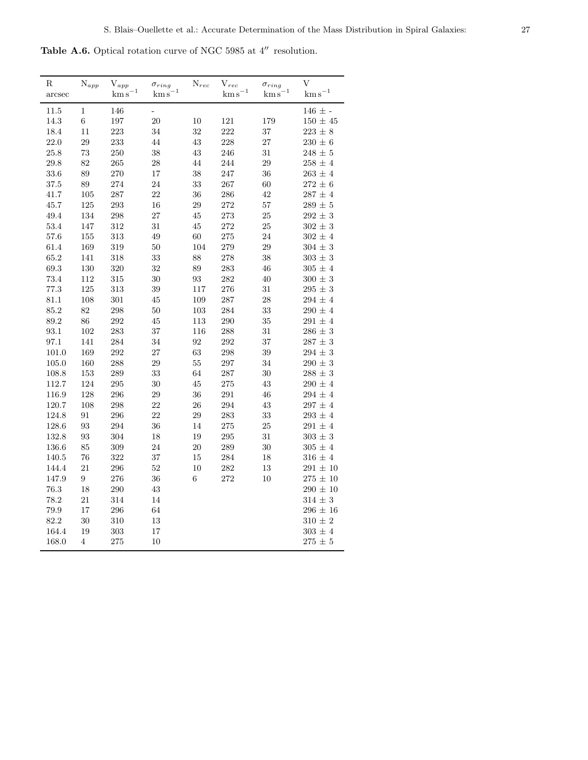Table A.6. Optical rotation curve of NGC 5985 at  $4^{\prime\prime}$  resolution.

| $_{\rm R}$<br>arcsec | $N_{app}$ | $\mathbf{V}_{app}$<br>$\mathrm{km\,s}^{-1}$ | $\sigma_{ring}$<br>$\mathrm{km\,s}^{-1}$ | $\mathrm{N}_{rec}$ | ${\rm V}_{rec}$<br>$\mathrm{km\,s}^{-1}$ | $\sigma_{ring}$<br>$\mathrm{km\,s}^{-1}$ | V<br>$\mathrm{km\,s}^{-1}$ |
|----------------------|-----------|---------------------------------------------|------------------------------------------|--------------------|------------------------------------------|------------------------------------------|----------------------------|
| 11.5                 | 1         | 146                                         | $\overline{\phantom{0}}$                 |                    |                                          |                                          | $146 \pm -$                |
| 14.3                 | $\,6$     | 197                                         | 20                                       | 10                 | 121                                      | 179                                      | $150\,\pm\,45$             |
| 18.4                 | 11        | 223                                         | 34                                       | 32                 | 222                                      | 37                                       | $223 \pm 8$                |
| $22.0\,$             | 29        | 233                                         | 44                                       | $43\,$             | 228                                      | 27                                       | $230 \pm 6$                |
| 25.8                 | 73        | 250                                         | 38                                       | $43\,$             | 246                                      | $31\,$                                   | $248 \pm 5$                |
| 29.8                 | 82        | 265                                         | 28                                       | 44                 | 244                                      | $\,29$                                   | $258 \pm 4$                |
| 33.6                 | 89        | 270                                         | 17                                       | 38                 | 247                                      | 36                                       | $263 \pm 4$                |
| 37.5                 | 89        | 274                                         | 24                                       | 33                 | 267                                      | 60                                       | $272\,\pm\,6$              |
| 41.7                 | 105       | 287                                         | 22                                       | 36                 | 286                                      | 42                                       | $287\,\pm\,4$              |
| 45.7                 | 125       | 293                                         | 16                                       | $\,29$             | $272\,$                                  | 57                                       | $289 \pm 5$                |
| 49.4                 | 134       | 298                                         | 27                                       | 45                 | 273                                      | 25                                       | $292\,\pm\,3$              |
| 53.4                 | 147       | 312                                         | 31                                       | $\rm 45$           | 272                                      | 25                                       | $302\,\pm\,3$              |
| 57.6                 | 155       | $313\,$                                     | 49                                       | 60                 | $275\,$                                  | 24                                       | $302 \pm 4$                |
| $61.4\,$             | 169       | 319                                         | 50                                       | 104                | 279                                      | 29                                       | $304\,\pm\,3$              |
| 65.2                 | 141       | 318                                         | 33                                       | 88                 | 278                                      | 38                                       | $303\,\pm\,3$              |
| 69.3                 | 130       | 320                                         | 32                                       | 89                 | 283                                      | 46                                       | $305 \pm 4$                |
| 73.4                 | 112       | 315                                         | 30                                       | 93                 | 282                                      | 40                                       | $300 \pm 3$                |
| 77.3                 | 125       | 313                                         | 39                                       | 117                | 276                                      | $31\,$                                   | $295 \pm 3$                |
| 81.1                 | 108       | 301                                         | $45\,$                                   | 109                | 287                                      | 28                                       | $294 \pm 4$                |
| 85.2                 | 82        | 298                                         | $50\,$                                   | $103\,$            | 284                                      | 33                                       | $290 \pm 4$                |
| 89.2                 | 86        | 292                                         | $45\,$                                   | 113                | 290                                      | 35                                       | 291 $\pm$ 4                |
| 93.1                 | 102       | 283                                         | 37                                       | 116                | 288                                      | $31\,$                                   | $286\,\pm\,3$              |
| 97.1                 | 141       | 284                                         | 34                                       | 92                 | 292                                      | 37                                       | $287\,\pm\,3$              |
| 101.0                | 169       | 292                                         | 27                                       | 63                 | 298                                      | $39\,$                                   | $294 \pm 3$                |
| 105.0                | 160       | 288                                         | 29                                       | $55\,$             | 297                                      | 34                                       | $290 \pm 3$                |
| 108.8                | 153       | 289                                         | 33                                       | 64                 | 287                                      | 30                                       | $288\,\pm\,3$              |
| 112.7                | 124       | 295                                         | 30                                       | $45\,$             | $275\,$                                  | $43\,$                                   | $290 \pm 4$                |
| 116.9                | 128       | 296                                         | 29                                       | 36                 | 291                                      | 46                                       | 294 $\pm$ 4                |
| 120.7                | 108       | 298                                         | 22                                       | ${\bf 26}$         | 294                                      | 43                                       | $297\,\pm\,4$              |
| 124.8                | 91        | 296                                         | 22                                       | 29                 | 283                                      | 33                                       | $293 \pm 4$                |
| 128.6                | 93        | 294                                         | 36                                       | 14                 | 275                                      | 25                                       | 291 $\pm$ 4                |
| 132.8                | 93        | $304\,$                                     | 18                                       | 19                 | 295                                      | 31                                       | $303\,\pm\,3$              |
| 136.6                | 85        | 309                                         | 24                                       | 20                 | 289                                      | 30                                       | $305 \pm 4$                |
| 140.5                | 76        | 322                                         | 37                                       | 15                 | 284                                      | 18                                       | $316 \pm 4$                |
| 144.4                | 21        | 296                                         | 52                                       | $10\,$             | ${\bf 282}$                              | 13                                       | $291 \pm 10$               |
| 147.9                | 9         | 276                                         | 36                                       | 6                  | 272                                      | 10                                       | $275 \pm 10$               |
| 76.3                 | 18        | 290                                         | 43                                       |                    |                                          |                                          | $290\,\pm\,10$             |
| 78.2                 | 21        | 314                                         | 14                                       |                    |                                          |                                          | $314 \pm 3$                |
| 79.9                 | 17        | 296                                         | 64                                       |                    |                                          |                                          | $296\,\pm\,16$             |
| 82.2                 | 30        | 310                                         | 13                                       |                    |                                          |                                          | $310 \pm 2$                |
| 164.4                | 19        | 303                                         | 17                                       |                    |                                          |                                          | $303 \pm 4$                |
| 168.0                | 4         | 275                                         | $10\,$                                   |                    |                                          |                                          | $275\,\pm\,5$              |